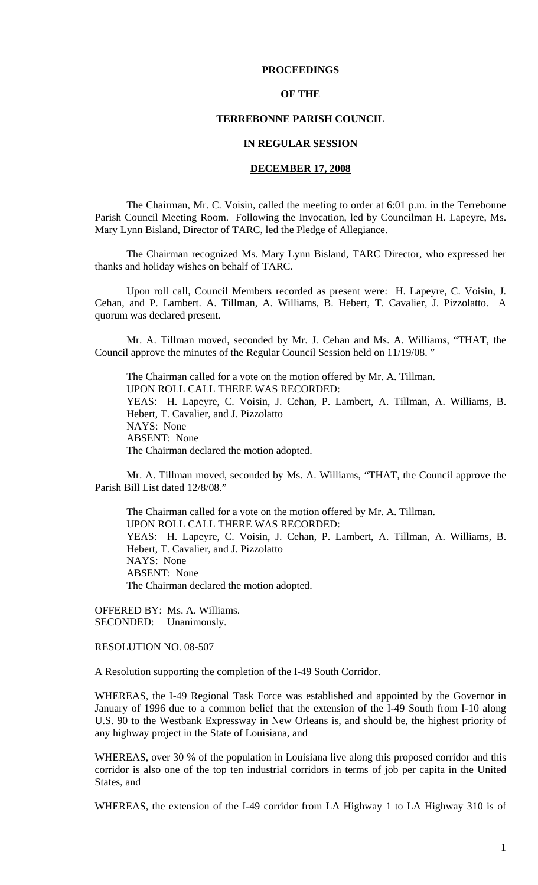## **PROCEEDINGS**

## **OF THE**

## **TERREBONNE PARISH COUNCIL**

#### **IN REGULAR SESSION**

## **DECEMBER 17, 2008**

 The Chairman, Mr. C. Voisin, called the meeting to order at 6:01 p.m. in the Terrebonne Parish Council Meeting Room. Following the Invocation, led by Councilman H. Lapeyre, Ms. Mary Lynn Bisland, Director of TARC, led the Pledge of Allegiance.

 The Chairman recognized Ms. Mary Lynn Bisland, TARC Director, who expressed her thanks and holiday wishes on behalf of TARC.

Upon roll call, Council Members recorded as present were: H. Lapeyre, C. Voisin, J. Cehan, and P. Lambert. A. Tillman, A. Williams, B. Hebert, T. Cavalier, J. Pizzolatto. A quorum was declared present.

Mr. A. Tillman moved, seconded by Mr. J. Cehan and Ms. A. Williams, "THAT, the Council approve the minutes of the Regular Council Session held on 11/19/08. "

The Chairman called for a vote on the motion offered by Mr. A. Tillman. UPON ROLL CALL THERE WAS RECORDED: YEAS: H. Lapeyre, C. Voisin, J. Cehan, P. Lambert, A. Tillman, A. Williams, B. Hebert, T. Cavalier, and J. Pizzolatto NAYS: None ABSENT: None The Chairman declared the motion adopted.

Mr. A. Tillman moved, seconded by Ms. A. Williams, "THAT, the Council approve the Parish Bill List dated 12/8/08."

The Chairman called for a vote on the motion offered by Mr. A. Tillman. UPON ROLL CALL THERE WAS RECORDED: YEAS: H. Lapeyre, C. Voisin, J. Cehan, P. Lambert, A. Tillman, A. Williams, B. Hebert, T. Cavalier, and J. Pizzolatto NAYS: None ABSENT: None The Chairman declared the motion adopted.

OFFERED BY: Ms. A. Williams. SECONDED: Unanimously.

RESOLUTION NO. 08-507

A Resolution supporting the completion of the I-49 South Corridor.

WHEREAS, the I-49 Regional Task Force was established and appointed by the Governor in January of 1996 due to a common belief that the extension of the I-49 South from I-10 along U.S. 90 to the Westbank Expressway in New Orleans is, and should be, the highest priority of any highway project in the State of Louisiana, and

WHEREAS, over 30 % of the population in Louisiana live along this proposed corridor and this corridor is also one of the top ten industrial corridors in terms of job per capita in the United States, and

WHEREAS, the extension of the I-49 corridor from LA Highway 1 to LA Highway 310 is of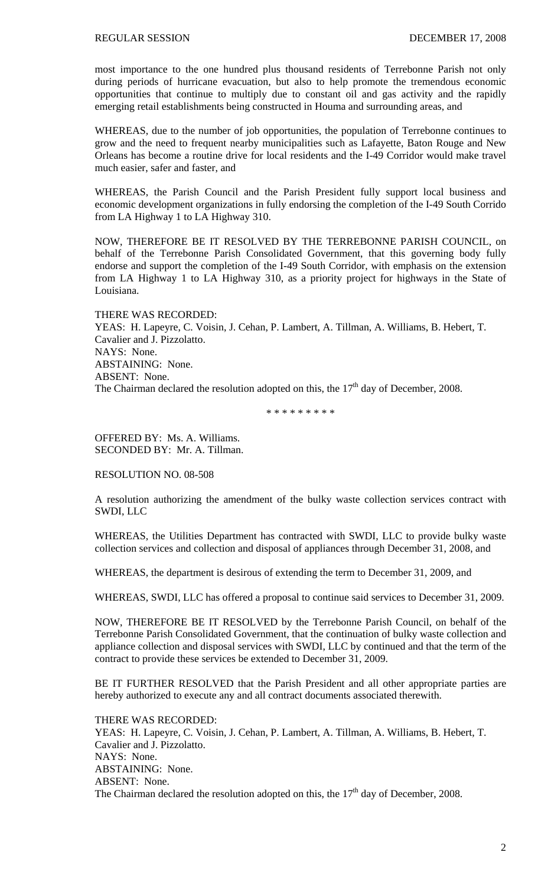most importance to the one hundred plus thousand residents of Terrebonne Parish not only during periods of hurricane evacuation, but also to help promote the tremendous economic opportunities that continue to multiply due to constant oil and gas activity and the rapidly emerging retail establishments being constructed in Houma and surrounding areas, and

WHEREAS, due to the number of job opportunities, the population of Terrebonne continues to grow and the need to frequent nearby municipalities such as Lafayette, Baton Rouge and New Orleans has become a routine drive for local residents and the I-49 Corridor would make travel much easier, safer and faster, and

WHEREAS, the Parish Council and the Parish President fully support local business and economic development organizations in fully endorsing the completion of the I-49 South Corrido from LA Highway 1 to LA Highway 310.

NOW, THEREFORE BE IT RESOLVED BY THE TERREBONNE PARISH COUNCIL, on behalf of the Terrebonne Parish Consolidated Government, that this governing body fully endorse and support the completion of the I-49 South Corridor, with emphasis on the extension from LA Highway 1 to LA Highway 310, as a priority project for highways in the State of Louisiana.

THERE WAS RECORDED: YEAS: H. Lapeyre, C. Voisin, J. Cehan, P. Lambert, A. Tillman, A. Williams, B. Hebert, T. Cavalier and J. Pizzolatto. NAYS: None. ABSTAINING: None. ABSENT: None. The Chairman declared the resolution adopted on this, the  $17<sup>th</sup>$  day of December, 2008.

\* \* \* \* \* \* \* \* \*

OFFERED BY: Ms. A. Williams. SECONDED BY: Mr. A. Tillman.

RESOLUTION NO. 08-508

A resolution authorizing the amendment of the bulky waste collection services contract with SWDI, LLC

WHEREAS, the Utilities Department has contracted with SWDI, LLC to provide bulky waste collection services and collection and disposal of appliances through December 31, 2008, and

WHEREAS, the department is desirous of extending the term to December 31, 2009, and

WHEREAS, SWDI, LLC has offered a proposal to continue said services to December 31, 2009.

NOW, THEREFORE BE IT RESOLVED by the Terrebonne Parish Council, on behalf of the Terrebonne Parish Consolidated Government, that the continuation of bulky waste collection and appliance collection and disposal services with SWDI, LLC by continued and that the term of the contract to provide these services be extended to December 31, 2009.

BE IT FURTHER RESOLVED that the Parish President and all other appropriate parties are hereby authorized to execute any and all contract documents associated therewith.

THERE WAS RECORDED: YEAS: H. Lapeyre, C. Voisin, J. Cehan, P. Lambert, A. Tillman, A. Williams, B. Hebert, T. Cavalier and J. Pizzolatto. NAYS: None. ABSTAINING: None. ABSENT: None. The Chairman declared the resolution adopted on this, the  $17<sup>th</sup>$  day of December, 2008.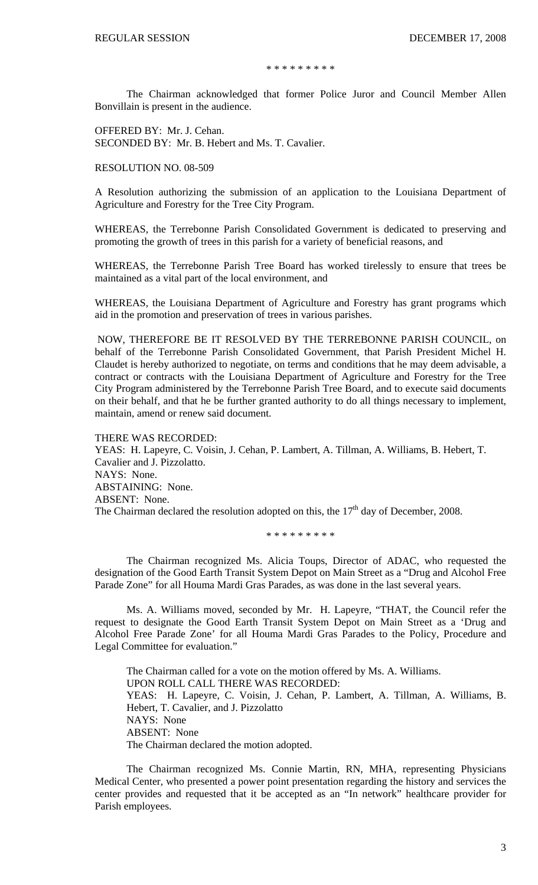\* \* \* \* \* \* \* \* \*

The Chairman acknowledged that former Police Juror and Council Member Allen Bonvillain is present in the audience.

OFFERED BY: Mr. J. Cehan. SECONDED BY: Mr. B. Hebert and Ms. T. Cavalier.

## RESOLUTION NO. 08-509

A Resolution authorizing the submission of an application to the Louisiana Department of Agriculture and Forestry for the Tree City Program.

WHEREAS, the Terrebonne Parish Consolidated Government is dedicated to preserving and promoting the growth of trees in this parish for a variety of beneficial reasons, and

WHEREAS, the Terrebonne Parish Tree Board has worked tirelessly to ensure that trees be maintained as a vital part of the local environment, and

WHEREAS, the Louisiana Department of Agriculture and Forestry has grant programs which aid in the promotion and preservation of trees in various parishes.

 NOW, THEREFORE BE IT RESOLVED BY THE TERREBONNE PARISH COUNCIL, on behalf of the Terrebonne Parish Consolidated Government, that Parish President Michel H. Claudet is hereby authorized to negotiate, on terms and conditions that he may deem advisable, a contract or contracts with the Louisiana Department of Agriculture and Forestry for the Tree City Program administered by the Terrebonne Parish Tree Board, and to execute said documents on their behalf, and that he be further granted authority to do all things necessary to implement, maintain, amend or renew said document.

#### THERE WAS RECORDED:

YEAS: H. Lapeyre, C. Voisin, J. Cehan, P. Lambert, A. Tillman, A. Williams, B. Hebert, T. Cavalier and J. Pizzolatto. NAYS: None. ABSTAINING: None. ABSENT: None. The Chairman declared the resolution adopted on this, the  $17<sup>th</sup>$  day of December, 2008.

\* \* \* \* \* \* \* \* \*

The Chairman recognized Ms. Alicia Toups, Director of ADAC, who requested the designation of the Good Earth Transit System Depot on Main Street as a "Drug and Alcohol Free Parade Zone" for all Houma Mardi Gras Parades, as was done in the last several years.

Ms. A. Williams moved, seconded by Mr. H. Lapeyre, "THAT, the Council refer the request to designate the Good Earth Transit System Depot on Main Street as a 'Drug and Alcohol Free Parade Zone' for all Houma Mardi Gras Parades to the Policy, Procedure and Legal Committee for evaluation."

The Chairman called for a vote on the motion offered by Ms. A. Williams. UPON ROLL CALL THERE WAS RECORDED: YEAS: H. Lapeyre, C. Voisin, J. Cehan, P. Lambert, A. Tillman, A. Williams, B. Hebert, T. Cavalier, and J. Pizzolatto NAYS: None ABSENT: None The Chairman declared the motion adopted.

The Chairman recognized Ms. Connie Martin, RN, MHA, representing Physicians Medical Center, who presented a power point presentation regarding the history and services the center provides and requested that it be accepted as an "In network" healthcare provider for Parish employees.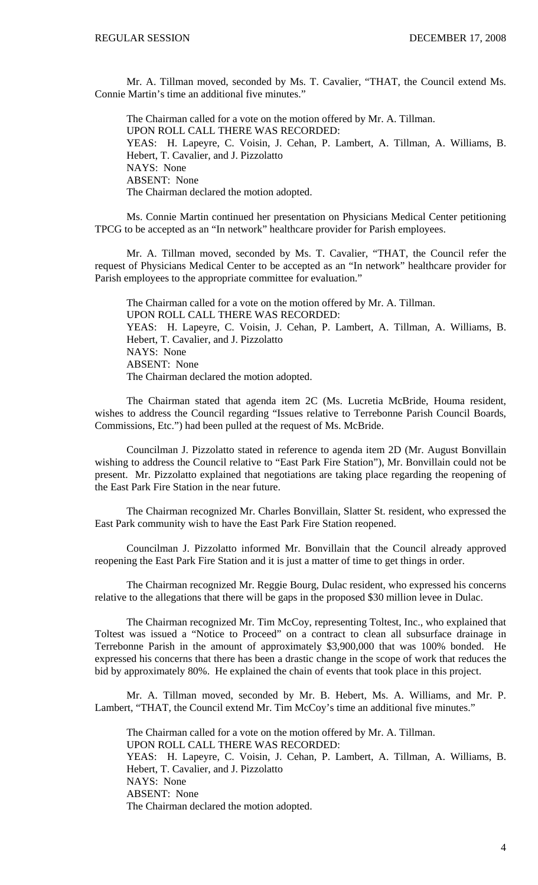Mr. A. Tillman moved, seconded by Ms. T. Cavalier, "THAT, the Council extend Ms. Connie Martin's time an additional five minutes."

The Chairman called for a vote on the motion offered by Mr. A. Tillman. UPON ROLL CALL THERE WAS RECORDED: YEAS: H. Lapeyre, C. Voisin, J. Cehan, P. Lambert, A. Tillman, A. Williams, B. Hebert, T. Cavalier, and J. Pizzolatto NAYS: None ABSENT: None The Chairman declared the motion adopted.

Ms. Connie Martin continued her presentation on Physicians Medical Center petitioning TPCG to be accepted as an "In network" healthcare provider for Parish employees.

Mr. A. Tillman moved, seconded by Ms. T. Cavalier, "THAT, the Council refer the request of Physicians Medical Center to be accepted as an "In network" healthcare provider for Parish employees to the appropriate committee for evaluation."

The Chairman called for a vote on the motion offered by Mr. A. Tillman. UPON ROLL CALL THERE WAS RECORDED: YEAS: H. Lapeyre, C. Voisin, J. Cehan, P. Lambert, A. Tillman, A. Williams, B. Hebert, T. Cavalier, and J. Pizzolatto NAYS: None ABSENT: None The Chairman declared the motion adopted.

The Chairman stated that agenda item 2C (Ms. Lucretia McBride, Houma resident, wishes to address the Council regarding "Issues relative to Terrebonne Parish Council Boards, Commissions, Etc.") had been pulled at the request of Ms. McBride.

Councilman J. Pizzolatto stated in reference to agenda item 2D (Mr. August Bonvillain wishing to address the Council relative to "East Park Fire Station"), Mr. Bonvillain could not be present. Mr. Pizzolatto explained that negotiations are taking place regarding the reopening of the East Park Fire Station in the near future.

The Chairman recognized Mr. Charles Bonvillain, Slatter St. resident, who expressed the East Park community wish to have the East Park Fire Station reopened.

Councilman J. Pizzolatto informed Mr. Bonvillain that the Council already approved reopening the East Park Fire Station and it is just a matter of time to get things in order.

 The Chairman recognized Mr. Reggie Bourg, Dulac resident, who expressed his concerns relative to the allegations that there will be gaps in the proposed \$30 million levee in Dulac.

 The Chairman recognized Mr. Tim McCoy, representing Toltest, Inc., who explained that Toltest was issued a "Notice to Proceed" on a contract to clean all subsurface drainage in Terrebonne Parish in the amount of approximately \$3,900,000 that was 100% bonded. He expressed his concerns that there has been a drastic change in the scope of work that reduces the bid by approximately 80%. He explained the chain of events that took place in this project.

 Mr. A. Tillman moved, seconded by Mr. B. Hebert, Ms. A. Williams, and Mr. P. Lambert, "THAT, the Council extend Mr. Tim McCoy's time an additional five minutes."

 The Chairman called for a vote on the motion offered by Mr. A. Tillman. UPON ROLL CALL THERE WAS RECORDED: YEAS: H. Lapeyre, C. Voisin, J. Cehan, P. Lambert, A. Tillman, A. Williams, B. Hebert, T. Cavalier, and J. Pizzolatto NAYS: None ABSENT: None The Chairman declared the motion adopted.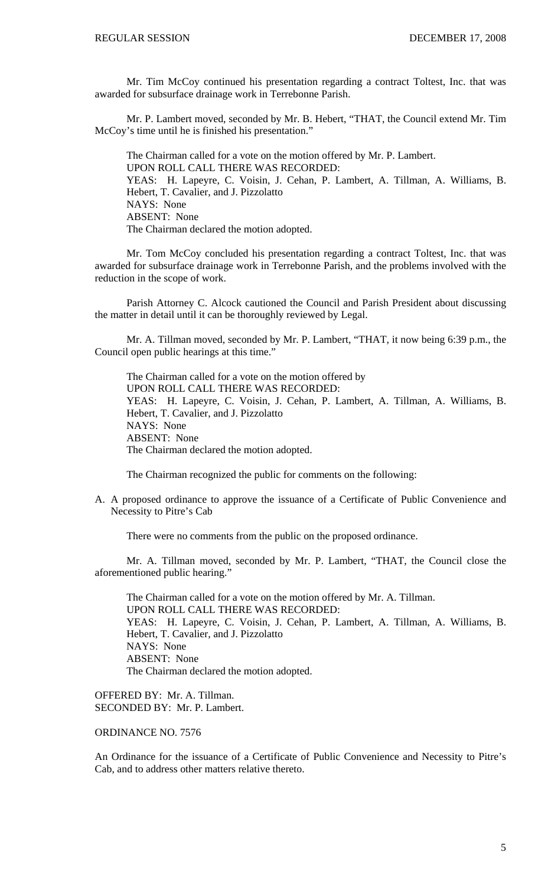Mr. Tim McCoy continued his presentation regarding a contract Toltest, Inc. that was awarded for subsurface drainage work in Terrebonne Parish.

 Mr. P. Lambert moved, seconded by Mr. B. Hebert, "THAT, the Council extend Mr. Tim McCoy's time until he is finished his presentation."

 The Chairman called for a vote on the motion offered by Mr. P. Lambert. UPON ROLL CALL THERE WAS RECORDED: YEAS: H. Lapeyre, C. Voisin, J. Cehan, P. Lambert, A. Tillman, A. Williams, B. Hebert, T. Cavalier, and J. Pizzolatto NAYS: None ABSENT: None The Chairman declared the motion adopted.

 Mr. Tom McCoy concluded his presentation regarding a contract Toltest, Inc. that was awarded for subsurface drainage work in Terrebonne Parish, and the problems involved with the reduction in the scope of work.

 Parish Attorney C. Alcock cautioned the Council and Parish President about discussing the matter in detail until it can be thoroughly reviewed by Legal.

 Mr. A. Tillman moved, seconded by Mr. P. Lambert, "THAT, it now being 6:39 p.m., the Council open public hearings at this time."

 The Chairman called for a vote on the motion offered by UPON ROLL CALL THERE WAS RECORDED: YEAS: H. Lapeyre, C. Voisin, J. Cehan, P. Lambert, A. Tillman, A. Williams, B. Hebert, T. Cavalier, and J. Pizzolatto NAYS: None ABSENT: None The Chairman declared the motion adopted.

The Chairman recognized the public for comments on the following:

A. A proposed ordinance to approve the issuance of a Certificate of Public Convenience and Necessity to Pitre's Cab

There were no comments from the public on the proposed ordinance.

 Mr. A. Tillman moved, seconded by Mr. P. Lambert, "THAT, the Council close the aforementioned public hearing."

 The Chairman called for a vote on the motion offered by Mr. A. Tillman. UPON ROLL CALL THERE WAS RECORDED: YEAS: H. Lapeyre, C. Voisin, J. Cehan, P. Lambert, A. Tillman, A. Williams, B. Hebert, T. Cavalier, and J. Pizzolatto NAYS: None ABSENT: None The Chairman declared the motion adopted.

OFFERED BY: Mr. A. Tillman. SECONDED BY: Mr. P. Lambert.

ORDINANCE NO. 7576

An Ordinance for the issuance of a Certificate of Public Convenience and Necessity to Pitre's Cab, and to address other matters relative thereto.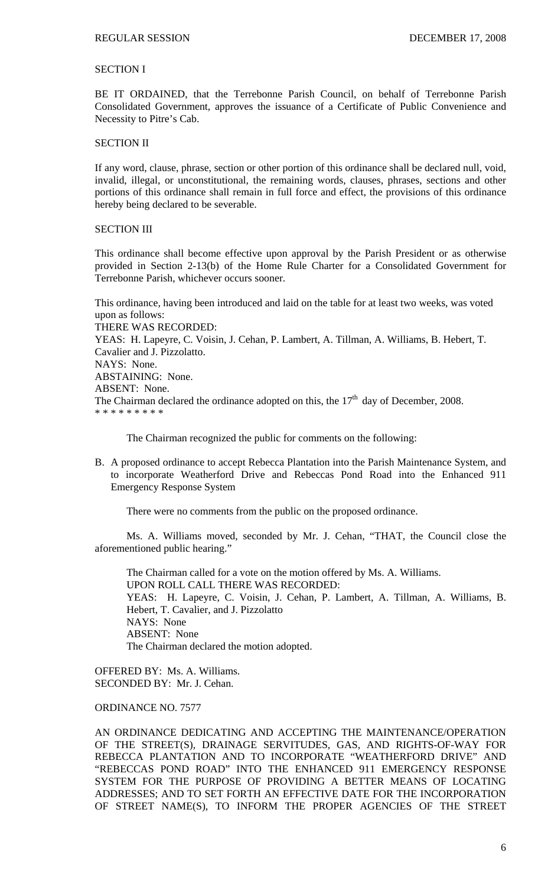## SECTION I

BE IT ORDAINED, that the Terrebonne Parish Council, on behalf of Terrebonne Parish Consolidated Government, approves the issuance of a Certificate of Public Convenience and Necessity to Pitre's Cab.

## SECTION II

If any word, clause, phrase, section or other portion of this ordinance shall be declared null, void, invalid, illegal, or unconstitutional, the remaining words, clauses, phrases, sections and other portions of this ordinance shall remain in full force and effect, the provisions of this ordinance hereby being declared to be severable.

#### SECTION III

This ordinance shall become effective upon approval by the Parish President or as otherwise provided in Section 2-13(b) of the Home Rule Charter for a Consolidated Government for Terrebonne Parish, whichever occurs sooner.

This ordinance, having been introduced and laid on the table for at least two weeks, was voted upon as follows: THERE WAS RECORDED: YEAS: H. Lapeyre, C. Voisin, J. Cehan, P. Lambert, A. Tillman, A. Williams, B. Hebert, T. Cavalier and J. Pizzolatto. NAYS: None. ABSTAINING: None. ABSENT: None. The Chairman declared the ordinance adopted on this, the  $17<sup>th</sup>$  day of December, 2008. \* \* \* \* \* \* \* \* \*

The Chairman recognized the public for comments on the following:

B. A proposed ordinance to accept Rebecca Plantation into the Parish Maintenance System, and to incorporate Weatherford Drive and Rebeccas Pond Road into the Enhanced 911 Emergency Response System

There were no comments from the public on the proposed ordinance.

Ms. A. Williams moved, seconded by Mr. J. Cehan, "THAT, the Council close the aforementioned public hearing."

 The Chairman called for a vote on the motion offered by Ms. A. Williams. UPON ROLL CALL THERE WAS RECORDED: YEAS: H. Lapeyre, C. Voisin, J. Cehan, P. Lambert, A. Tillman, A. Williams, B. Hebert, T. Cavalier, and J. Pizzolatto NAYS: None ABSENT: None The Chairman declared the motion adopted.

OFFERED BY: Ms. A. Williams. SECONDED BY: Mr. J. Cehan.

## ORDINANCE NO. 7577

AN ORDINANCE DEDICATING AND ACCEPTING THE MAINTENANCE/OPERATION OF THE STREET(S), DRAINAGE SERVITUDES, GAS, AND RIGHTS-OF-WAY FOR REBECCA PLANTATION AND TO INCORPORATE "WEATHERFORD DRIVE" AND "REBECCAS POND ROAD" INTO THE ENHANCED 911 EMERGENCY RESPONSE SYSTEM FOR THE PURPOSE OF PROVIDING A BETTER MEANS OF LOCATING ADDRESSES; AND TO SET FORTH AN EFFECTIVE DATE FOR THE INCORPORATION OF STREET NAME(S), TO INFORM THE PROPER AGENCIES OF THE STREET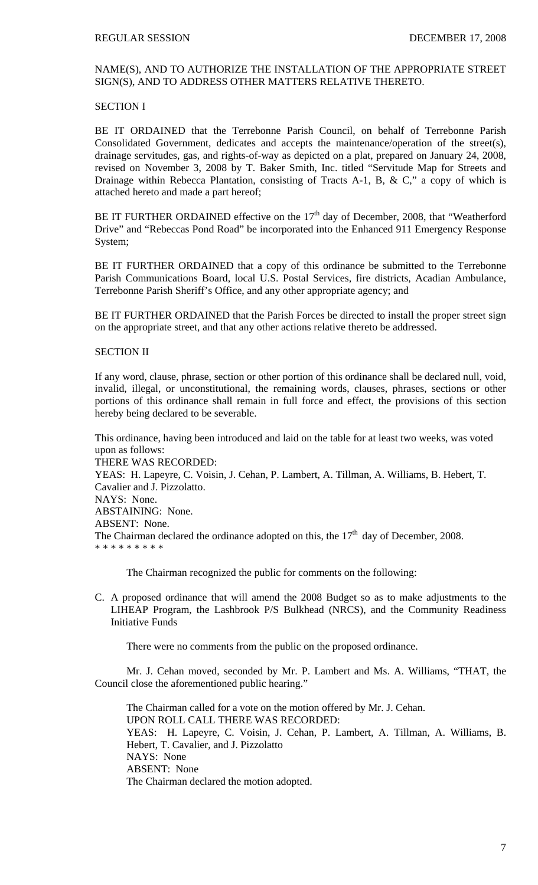## NAME(S), AND TO AUTHORIZE THE INSTALLATION OF THE APPROPRIATE STREET SIGN(S), AND TO ADDRESS OTHER MATTERS RELATIVE THERETO.

## SECTION I

BE IT ORDAINED that the Terrebonne Parish Council, on behalf of Terrebonne Parish Consolidated Government, dedicates and accepts the maintenance/operation of the street(s), drainage servitudes, gas, and rights-of-way as depicted on a plat, prepared on January 24, 2008, revised on November 3, 2008 by T. Baker Smith, Inc. titled "Servitude Map for Streets and Drainage within Rebecca Plantation, consisting of Tracts A-1, B, & C," a copy of which is attached hereto and made a part hereof;

BE IT FURTHER ORDAINED effective on the  $17<sup>th</sup>$  day of December, 2008, that "Weatherford Drive" and "Rebeccas Pond Road" be incorporated into the Enhanced 911 Emergency Response System;

BE IT FURTHER ORDAINED that a copy of this ordinance be submitted to the Terrebonne Parish Communications Board, local U.S. Postal Services, fire districts, Acadian Ambulance, Terrebonne Parish Sheriff's Office, and any other appropriate agency; and

BE IT FURTHER ORDAINED that the Parish Forces be directed to install the proper street sign on the appropriate street, and that any other actions relative thereto be addressed.

#### SECTION II

If any word, clause, phrase, section or other portion of this ordinance shall be declared null, void, invalid, illegal, or unconstitutional, the remaining words, clauses, phrases, sections or other portions of this ordinance shall remain in full force and effect, the provisions of this section hereby being declared to be severable.

This ordinance, having been introduced and laid on the table for at least two weeks, was voted upon as follows:

THERE WAS RECORDED: YEAS: H. Lapeyre, C. Voisin, J. Cehan, P. Lambert, A. Tillman, A. Williams, B. Hebert, T. Cavalier and J. Pizzolatto. NAYS: None. ABSTAINING: None. ABSENT: None. The Chairman declared the ordinance adopted on this, the  $17<sup>th</sup>$  day of December, 2008. \* \* \* \* \* \* \* \* \*

The Chairman recognized the public for comments on the following:

C. A proposed ordinance that will amend the 2008 Budget so as to make adjustments to the LIHEAP Program, the Lashbrook P/S Bulkhead (NRCS), and the Community Readiness Initiative Funds

There were no comments from the public on the proposed ordinance.

 Mr. J. Cehan moved, seconded by Mr. P. Lambert and Ms. A. Williams, "THAT, the Council close the aforementioned public hearing."

 The Chairman called for a vote on the motion offered by Mr. J. Cehan. UPON ROLL CALL THERE WAS RECORDED: YEAS: H. Lapeyre, C. Voisin, J. Cehan, P. Lambert, A. Tillman, A. Williams, B. Hebert, T. Cavalier, and J. Pizzolatto NAYS: None ABSENT: None The Chairman declared the motion adopted.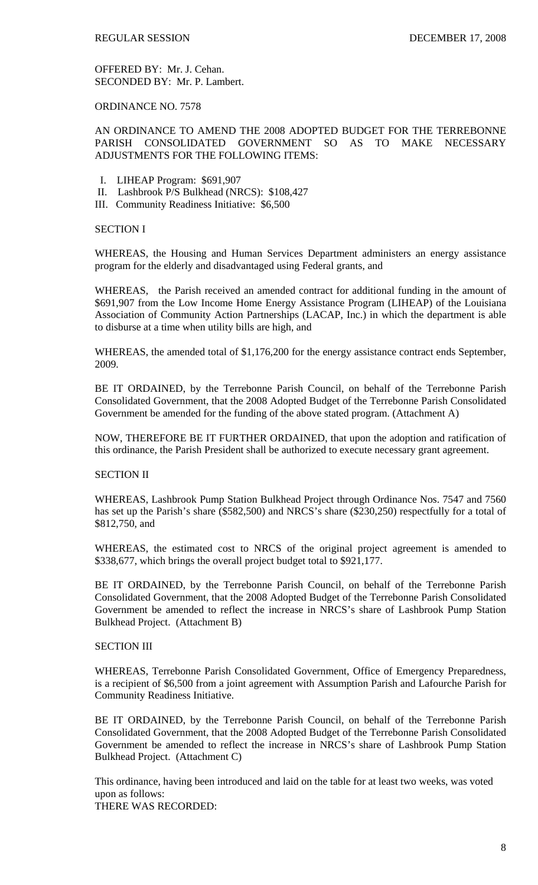OFFERED BY: Mr. J. Cehan. SECONDED BY: Mr. P. Lambert.

ORDINANCE NO. 7578

AN ORDINANCE TO AMEND THE 2008 ADOPTED BUDGET FOR THE TERREBONNE PARISH CONSOLIDATED GOVERNMENT SO AS TO MAKE NECESSARY ADJUSTMENTS FOR THE FOLLOWING ITEMS:

- I. LIHEAP Program: \$691,907
- II. Lashbrook P/S Bulkhead (NRCS): \$108,427
- III. Community Readiness Initiative: \$6,500

## SECTION I

WHEREAS, the Housing and Human Services Department administers an energy assistance program for the elderly and disadvantaged using Federal grants, and

WHEREAS, the Parish received an amended contract for additional funding in the amount of \$691,907 from the Low Income Home Energy Assistance Program (LIHEAP) of the Louisiana Association of Community Action Partnerships (LACAP, Inc.) in which the department is able to disburse at a time when utility bills are high, and

WHEREAS, the amended total of \$1,176,200 for the energy assistance contract ends September, 2009.

BE IT ORDAINED, by the Terrebonne Parish Council, on behalf of the Terrebonne Parish Consolidated Government, that the 2008 Adopted Budget of the Terrebonne Parish Consolidated Government be amended for the funding of the above stated program. (Attachment A)

NOW, THEREFORE BE IT FURTHER ORDAINED, that upon the adoption and ratification of this ordinance, the Parish President shall be authorized to execute necessary grant agreement.

#### SECTION II

WHEREAS, Lashbrook Pump Station Bulkhead Project through Ordinance Nos. 7547 and 7560 has set up the Parish's share (\$582,500) and NRCS's share (\$230,250) respectfully for a total of \$812,750, and

WHEREAS, the estimated cost to NRCS of the original project agreement is amended to \$338,677, which brings the overall project budget total to \$921,177.

BE IT ORDAINED, by the Terrebonne Parish Council, on behalf of the Terrebonne Parish Consolidated Government, that the 2008 Adopted Budget of the Terrebonne Parish Consolidated Government be amended to reflect the increase in NRCS's share of Lashbrook Pump Station Bulkhead Project. (Attachment B)

#### SECTION III

WHEREAS, Terrebonne Parish Consolidated Government, Office of Emergency Preparedness, is a recipient of \$6,500 from a joint agreement with Assumption Parish and Lafourche Parish for Community Readiness Initiative.

BE IT ORDAINED, by the Terrebonne Parish Council, on behalf of the Terrebonne Parish Consolidated Government, that the 2008 Adopted Budget of the Terrebonne Parish Consolidated Government be amended to reflect the increase in NRCS's share of Lashbrook Pump Station Bulkhead Project. (Attachment C)

This ordinance, having been introduced and laid on the table for at least two weeks, was voted upon as follows: THERE WAS RECORDED: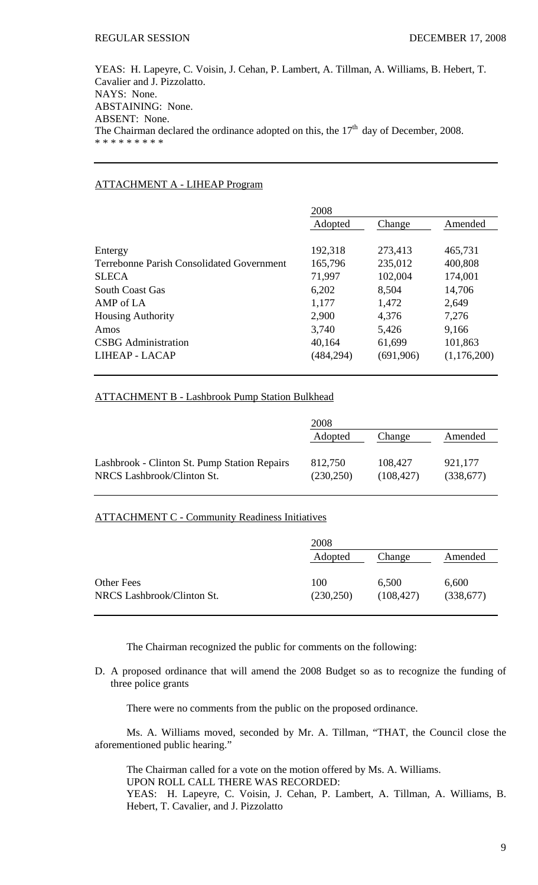YEAS: H. Lapeyre, C. Voisin, J. Cehan, P. Lambert, A. Tillman, A. Williams, B. Hebert, T. Cavalier and J. Pizzolatto. NAYS: None. ABSTAINING: None. ABSENT: None. The Chairman declared the ordinance adopted on this, the  $17<sup>th</sup>$  day of December, 2008. \* \* \* \* \* \* \* \* \*

## ATTACHMENT A - LIHEAP Program

|                                           | 2008       |           |             |
|-------------------------------------------|------------|-----------|-------------|
|                                           | Adopted    | Change    | Amended     |
|                                           |            |           |             |
| Entergy                                   | 192,318    | 273,413   | 465,731     |
| Terrebonne Parish Consolidated Government | 165,796    | 235,012   | 400,808     |
| <b>SLECA</b>                              | 71,997     | 102,004   | 174,001     |
| <b>South Coast Gas</b>                    | 6,202      | 8,504     | 14,706      |
| AMP of LA                                 | 1,177      | 1,472     | 2,649       |
| <b>Housing Authority</b>                  | 2,900      | 4,376     | 7,276       |
| Amos                                      | 3,740      | 5,426     | 9,166       |
| <b>CSBG</b> Administration                | 40,164     | 61,699    | 101,863     |
| LIHEAP - LACAP                            | (484, 294) | (691,906) | (1,176,200) |

## ATTACHMENT B - Lashbrook Pump Station Bulkhead

|                                                                            | 2008                  |                       |                      |
|----------------------------------------------------------------------------|-----------------------|-----------------------|----------------------|
|                                                                            | Adopted               | Change                | Amended              |
| Lashbrook - Clinton St. Pump Station Repairs<br>NRCS Lashbrook/Clinton St. | 812,750<br>(230, 250) | 108,427<br>(108, 427) | 921,177<br>(338,677) |

## ATTACHMENT C - Community Readiness Initiatives

|                            | 2008       |            |           |
|----------------------------|------------|------------|-----------|
|                            | Adopted    | Change     | Amended   |
|                            |            |            |           |
| <b>Other Fees</b>          | 100        | 6,500      | 6,600     |
| NRCS Lashbrook/Clinton St. | (230, 250) | (108, 427) | (338,677) |
|                            |            |            |           |

The Chairman recognized the public for comments on the following:

D. A proposed ordinance that will amend the 2008 Budget so as to recognize the funding of three police grants

There were no comments from the public on the proposed ordinance.

 Ms. A. Williams moved, seconded by Mr. A. Tillman, "THAT, the Council close the aforementioned public hearing."

 The Chairman called for a vote on the motion offered by Ms. A. Williams. UPON ROLL CALL THERE WAS RECORDED: YEAS: H. Lapeyre, C. Voisin, J. Cehan, P. Lambert, A. Tillman, A. Williams, B. Hebert, T. Cavalier, and J. Pizzolatto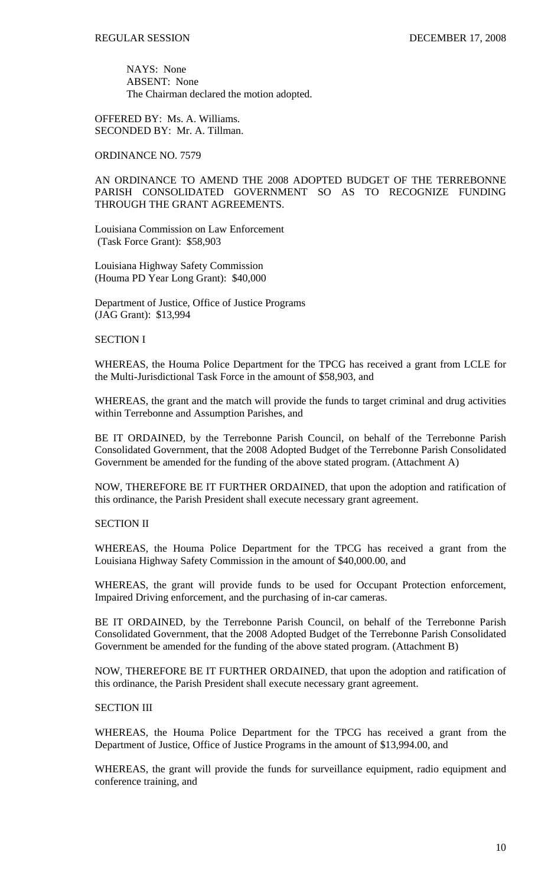NAYS: None ABSENT: None The Chairman declared the motion adopted.

OFFERED BY: Ms. A. Williams. SECONDED BY: Mr. A. Tillman.

ORDINANCE NO. 7579

AN ORDINANCE TO AMEND THE 2008 ADOPTED BUDGET OF THE TERREBONNE PARISH CONSOLIDATED GOVERNMENT SO AS TO RECOGNIZE FUNDING THROUGH THE GRANT AGREEMENTS.

Louisiana Commission on Law Enforcement (Task Force Grant): \$58,903

Louisiana Highway Safety Commission (Houma PD Year Long Grant): \$40,000

Department of Justice, Office of Justice Programs (JAG Grant): \$13,994

## SECTION I

WHEREAS, the Houma Police Department for the TPCG has received a grant from LCLE for the Multi-Jurisdictional Task Force in the amount of \$58,903, and

WHEREAS, the grant and the match will provide the funds to target criminal and drug activities within Terrebonne and Assumption Parishes, and

BE IT ORDAINED, by the Terrebonne Parish Council, on behalf of the Terrebonne Parish Consolidated Government, that the 2008 Adopted Budget of the Terrebonne Parish Consolidated Government be amended for the funding of the above stated program. (Attachment A)

NOW, THEREFORE BE IT FURTHER ORDAINED, that upon the adoption and ratification of this ordinance, the Parish President shall execute necessary grant agreement.

## SECTION II

WHEREAS, the Houma Police Department for the TPCG has received a grant from the Louisiana Highway Safety Commission in the amount of \$40,000.00, and

WHEREAS, the grant will provide funds to be used for Occupant Protection enforcement, Impaired Driving enforcement, and the purchasing of in-car cameras.

BE IT ORDAINED, by the Terrebonne Parish Council, on behalf of the Terrebonne Parish Consolidated Government, that the 2008 Adopted Budget of the Terrebonne Parish Consolidated Government be amended for the funding of the above stated program. (Attachment B)

NOW, THEREFORE BE IT FURTHER ORDAINED, that upon the adoption and ratification of this ordinance, the Parish President shall execute necessary grant agreement.

## SECTION III

WHEREAS, the Houma Police Department for the TPCG has received a grant from the Department of Justice, Office of Justice Programs in the amount of \$13,994.00, and

WHEREAS, the grant will provide the funds for surveillance equipment, radio equipment and conference training, and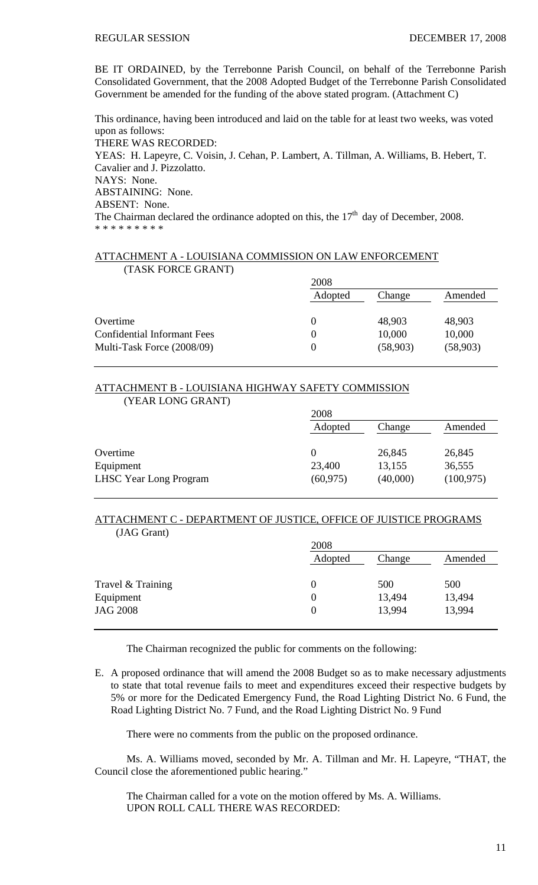BE IT ORDAINED, by the Terrebonne Parish Council, on behalf of the Terrebonne Parish Consolidated Government, that the 2008 Adopted Budget of the Terrebonne Parish Consolidated Government be amended for the funding of the above stated program. (Attachment C)

This ordinance, having been introduced and laid on the table for at least two weeks, was voted upon as follows: THERE WAS RECORDED: YEAS: H. Lapeyre, C. Voisin, J. Cehan, P. Lambert, A. Tillman, A. Williams, B. Hebert, T. Cavalier and J. Pizzolatto. NAYS: None. ABSTAINING: None. ABSENT: None. The Chairman declared the ordinance adopted on this, the  $17<sup>th</sup>$  day of December, 2008. \* \* \* \* \* \* \* \* \*

## ATTACHMENT A - LOUISIANA COMMISSION ON LAW ENFORCEMENT (TASK FORCE GRANT)

|                                    | 2008    |          |          |
|------------------------------------|---------|----------|----------|
|                                    | Adopted | Change   | Amended  |
|                                    |         |          |          |
| Overtime                           |         | 48,903   | 48,903   |
| <b>Confidential Informant Fees</b> |         | 10,000   | 10,000   |
| Multi-Task Force (2008/09)         |         | (58,903) | (58,903) |

## ATTACHMENT B - LOUISIANA HIGHWAY SAFETY COMMISSION (YEAR LONG GRANT)

|                               | 2008      |          |            |
|-------------------------------|-----------|----------|------------|
|                               | Adopted   | Change   | Amended    |
| Overtime                      | $\theta$  | 26,845   | 26,845     |
| Equipment                     | 23,400    | 13,155   | 36,555     |
| <b>LHSC Year Long Program</b> | (60, 975) | (40,000) | (100, 975) |

## ATTACHMENT C - DEPARTMENT OF JUSTICE, OFFICE OF JUISTICE PROGRAMS (JAG Grant)

|                   | 2008    |        |         |
|-------------------|---------|--------|---------|
|                   | Adopted | Change | Amended |
|                   |         |        |         |
| Travel & Training |         | 500    | 500     |
| Equipment         |         | 13,494 | 13,494  |
| <b>JAG 2008</b>   |         | 13,994 | 13,994  |
|                   |         |        |         |

The Chairman recognized the public for comments on the following:

E. A proposed ordinance that will amend the 2008 Budget so as to make necessary adjustments to state that total revenue fails to meet and expenditures exceed their respective budgets by 5% or more for the Dedicated Emergency Fund, the Road Lighting District No. 6 Fund, the Road Lighting District No. 7 Fund, and the Road Lighting District No. 9 Fund

There were no comments from the public on the proposed ordinance.

 Ms. A. Williams moved, seconded by Mr. A. Tillman and Mr. H. Lapeyre, "THAT, the Council close the aforementioned public hearing."

 The Chairman called for a vote on the motion offered by Ms. A. Williams. UPON ROLL CALL THERE WAS RECORDED: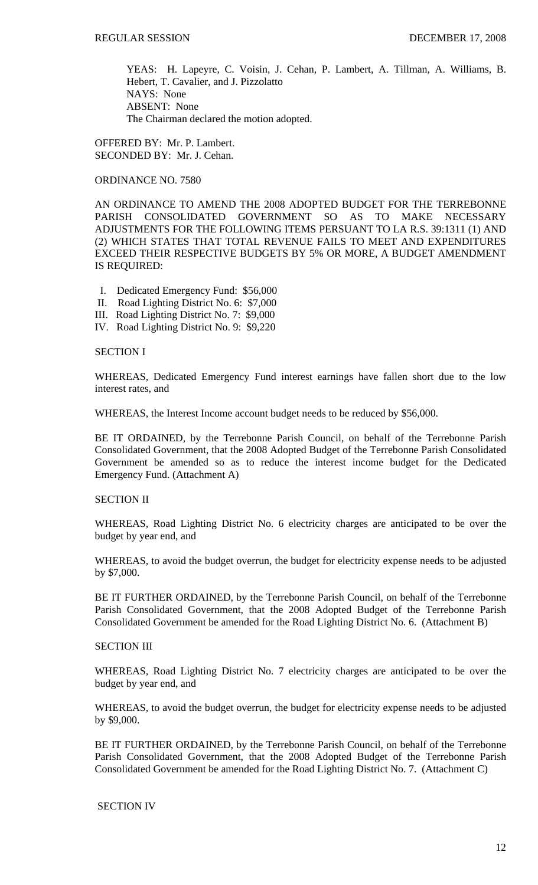YEAS: H. Lapeyre, C. Voisin, J. Cehan, P. Lambert, A. Tillman, A. Williams, B. Hebert, T. Cavalier, and J. Pizzolatto NAYS: None ABSENT: None The Chairman declared the motion adopted.

OFFERED BY: Mr. P. Lambert. SECONDED BY: Mr. J. Cehan.

ORDINANCE NO. 7580

AN ORDINANCE TO AMEND THE 2008 ADOPTED BUDGET FOR THE TERREBONNE PARISH CONSOLIDATED GOVERNMENT SO AS TO MAKE NECESSARY ADJUSTMENTS FOR THE FOLLOWING ITEMS PERSUANT TO LA R.S. 39:1311 (1) AND (2) WHICH STATES THAT TOTAL REVENUE FAILS TO MEET AND EXPENDITURES EXCEED THEIR RESPECTIVE BUDGETS BY 5% OR MORE, A BUDGET AMENDMENT IS REQUIRED:

- I. Dedicated Emergency Fund: \$56,000
- II. Road Lighting District No. 6: \$7,000
- III. Road Lighting District No. 7: \$9,000
- IV. Road Lighting District No. 9: \$9,220

#### SECTION I

WHEREAS, Dedicated Emergency Fund interest earnings have fallen short due to the low interest rates, and

WHEREAS, the Interest Income account budget needs to be reduced by \$56,000.

BE IT ORDAINED, by the Terrebonne Parish Council, on behalf of the Terrebonne Parish Consolidated Government, that the 2008 Adopted Budget of the Terrebonne Parish Consolidated Government be amended so as to reduce the interest income budget for the Dedicated Emergency Fund. (Attachment A)

SECTION II

WHEREAS, Road Lighting District No. 6 electricity charges are anticipated to be over the budget by year end, and

WHEREAS, to avoid the budget overrun, the budget for electricity expense needs to be adjusted by \$7,000.

BE IT FURTHER ORDAINED, by the Terrebonne Parish Council, on behalf of the Terrebonne Parish Consolidated Government, that the 2008 Adopted Budget of the Terrebonne Parish Consolidated Government be amended for the Road Lighting District No. 6. (Attachment B)

#### SECTION III

WHEREAS, Road Lighting District No. 7 electricity charges are anticipated to be over the budget by year end, and

WHEREAS, to avoid the budget overrun, the budget for electricity expense needs to be adjusted by \$9,000.

BE IT FURTHER ORDAINED, by the Terrebonne Parish Council, on behalf of the Terrebonne Parish Consolidated Government, that the 2008 Adopted Budget of the Terrebonne Parish Consolidated Government be amended for the Road Lighting District No. 7. (Attachment C)

SECTION IV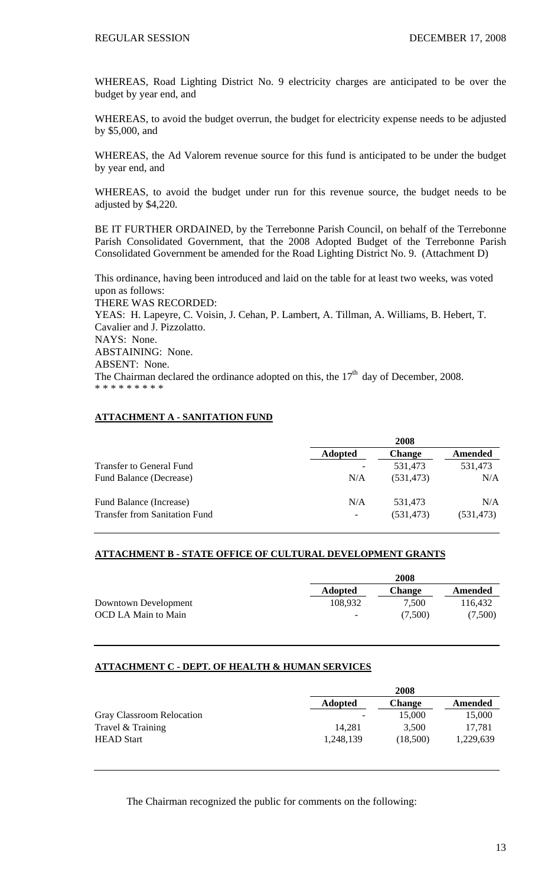WHEREAS, Road Lighting District No. 9 electricity charges are anticipated to be over the budget by year end, and

WHEREAS, to avoid the budget overrun, the budget for electricity expense needs to be adjusted by \$5,000, and

WHEREAS, the Ad Valorem revenue source for this fund is anticipated to be under the budget by year end, and

WHEREAS, to avoid the budget under run for this revenue source, the budget needs to be adjusted by \$4,220.

BE IT FURTHER ORDAINED, by the Terrebonne Parish Council, on behalf of the Terrebonne Parish Consolidated Government, that the 2008 Adopted Budget of the Terrebonne Parish Consolidated Government be amended for the Road Lighting District No. 9. (Attachment D)

This ordinance, having been introduced and laid on the table for at least two weeks, was voted upon as follows: THERE WAS RECORDED: YEAS: H. Lapeyre, C. Voisin, J. Cehan, P. Lambert, A. Tillman, A. Williams, B. Hebert, T. Cavalier and J. Pizzolatto. NAYS: None. ABSTAINING: None. ABSENT: None. The Chairman declared the ordinance adopted on this, the  $17<sup>th</sup>$  day of December, 2008. \* \* \* \* \* \* \* \* \*

## **ATTACHMENT A - SANITATION FUND**

|                                      | 2008                     |               |                |
|--------------------------------------|--------------------------|---------------|----------------|
|                                      | <b>Adopted</b>           | <b>Change</b> | <b>Amended</b> |
| Transfer to General Fund             | $\overline{\phantom{a}}$ | 531,473       | 531,473        |
| Fund Balance (Decrease)              | N/A                      | (531.473)     | N/A            |
| Fund Balance (Increase)              | N/A                      | 531.473       | N/A            |
| <b>Transfer from Sanitation Fund</b> | -                        | (531, 473)    | (531, 473)     |

#### **ATTACHMENT B - STATE OFFICE OF CULTURAL DEVELOPMENT GRANTS**

|                      | 2008                     |               |         |
|----------------------|--------------------------|---------------|---------|
|                      | <b>Adopted</b>           | <b>Change</b> | Amended |
| Downtown Development | 108,932                  | 7,500         | 116,432 |
| OCD LA Main to Main  | $\overline{\phantom{a}}$ | (7.500)       | (7,500) |

#### **ATTACHMENT C - DEPT. OF HEALTH & HUMAN SERVICES**

|                           | 2008           |               |           |
|---------------------------|----------------|---------------|-----------|
|                           | <b>Adopted</b> | <b>Change</b> | Amended   |
| Gray Classroom Relocation |                | 15,000        | 15,000    |
| Travel & Training         | 14,281         | 3,500         | 17,781    |
| <b>HEAD</b> Start         | 1,248,139      | (18,500)      | 1,229,639 |
|                           |                |               |           |

The Chairman recognized the public for comments on the following: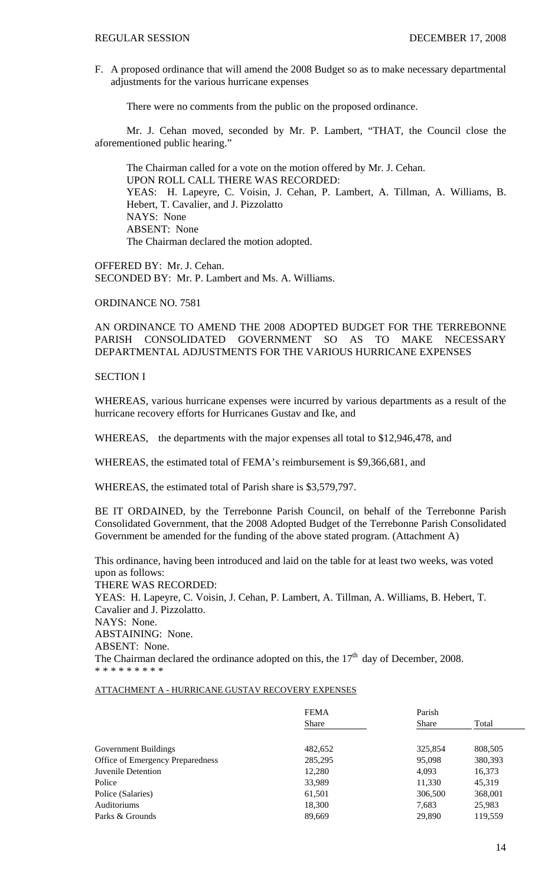F. A proposed ordinance that will amend the 2008 Budget so as to make necessary departmental adjustments for the various hurricane expenses

There were no comments from the public on the proposed ordinance.

 Mr. J. Cehan moved, seconded by Mr. P. Lambert, "THAT, the Council close the aforementioned public hearing."

 The Chairman called for a vote on the motion offered by Mr. J. Cehan. UPON ROLL CALL THERE WAS RECORDED: YEAS: H. Lapeyre, C. Voisin, J. Cehan, P. Lambert, A. Tillman, A. Williams, B. Hebert, T. Cavalier, and J. Pizzolatto NAYS: None ABSENT: None The Chairman declared the motion adopted.

OFFERED BY: Mr. J. Cehan. SECONDED BY: Mr. P. Lambert and Ms. A. Williams.

ORDINANCE NO. 7581

AN ORDINANCE TO AMEND THE 2008 ADOPTED BUDGET FOR THE TERREBONNE PARISH CONSOLIDATED GOVERNMENT SO AS TO MAKE NECESSARY DEPARTMENTAL ADJUSTMENTS FOR THE VARIOUS HURRICANE EXPENSES

## SECTION I

WHEREAS, various hurricane expenses were incurred by various departments as a result of the hurricane recovery efforts for Hurricanes Gustav and Ike, and

WHEREAS, the departments with the major expenses all total to \$12,946,478, and

WHEREAS, the estimated total of FEMA's reimbursement is \$9,366,681, and

WHEREAS, the estimated total of Parish share is \$3,579,797.

BE IT ORDAINED, by the Terrebonne Parish Council, on behalf of the Terrebonne Parish Consolidated Government, that the 2008 Adopted Budget of the Terrebonne Parish Consolidated Government be amended for the funding of the above stated program. (Attachment A)

This ordinance, having been introduced and laid on the table for at least two weeks, was voted upon as follows: THERE WAS RECORDED: YEAS: H. Lapeyre, C. Voisin, J. Cehan, P. Lambert, A. Tillman, A. Williams, B. Hebert, T. Cavalier and J. Pizzolatto. NAYS: None. ABSTAINING: None. ABSENT: None. The Chairman declared the ordinance adopted on this, the  $17<sup>th</sup>$  day of December, 2008. \* \* \* \* \* \* \* \*

## ATTACHMENT A - HURRICANE GUSTAV RECOVERY EXPENSES

|                                  | <b>FEMA</b>  | Parish       |         |
|----------------------------------|--------------|--------------|---------|
|                                  | <b>Share</b> | <b>Share</b> | Total   |
|                                  |              |              |         |
| Government Buildings             | 482,652      | 325,854      | 808,505 |
| Office of Emergency Preparedness | 285,295      | 95,098       | 380,393 |
| Juvenile Detention               | 12,280       | 4,093        | 16,373  |
| Police                           | 33,989       | 11,330       | 45,319  |
| Police (Salaries)                | 61,501       | 306,500      | 368,001 |
| Auditoriums                      | 18,300       | 7,683        | 25,983  |
| Parks & Grounds                  | 89,669       | 29,890       | 119,559 |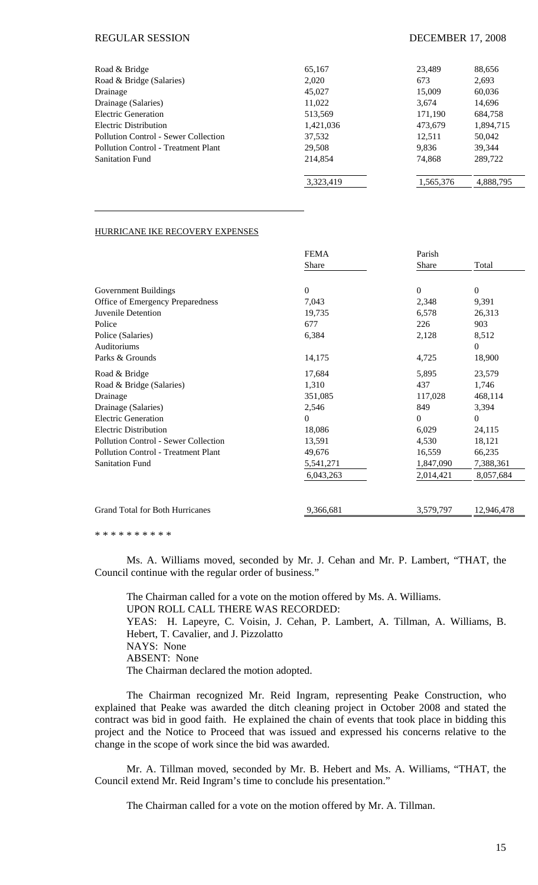#### REGULAR SESSION DECEMBER 17, 2008

|                                      | 3,323,419 | 1,565,376 | 4,888,795 |
|--------------------------------------|-----------|-----------|-----------|
| <b>Sanitation Fund</b>               | 214.854   | 74.868    | 289,722   |
| Pollution Control - Treatment Plant  | 29,508    | 9.836     | 39,344    |
| Pollution Control - Sewer Collection | 37,532    | 12.511    | 50,042    |
| Electric Distribution                | 1,421,036 | 473.679   | 1,894,715 |
| Electric Generation                  | 513,569   | 171,190   | 684,758   |
| Drainage (Salaries)                  | 11,022    | 3.674     | 14,696    |
| Drainage                             | 45,027    | 15,009    | 60,036    |
| Road & Bridge (Salaries)             | 2.020     | 673       | 2,693     |
| Road & Bridge                        | 65,167    | 23.489    | 88,656    |

#### HURRICANE IKE RECOVERY EXPENSES

|                                        | <b>FEMA</b>      | Parish           |                |
|----------------------------------------|------------------|------------------|----------------|
|                                        | Share            | Share            | Total          |
| <b>Government Buildings</b>            | $\boldsymbol{0}$ | $\boldsymbol{0}$ | $\overline{0}$ |
| Office of Emergency Preparedness       | 7,043            | 2,348            | 9,391          |
| Juvenile Detention                     | 19,735           | 6,578            | 26,313         |
| Police                                 | 677              | 226              | 903            |
| Police (Salaries)                      | 6,384            | 2,128            | 8,512          |
| Auditoriums                            |                  |                  | $\theta$       |
| Parks & Grounds                        | 14,175           | 4,725            | 18,900         |
| Road & Bridge                          | 17,684           | 5,895            | 23,579         |
| Road & Bridge (Salaries)               | 1,310            | 437              | 1,746          |
| Drainage                               | 351,085          | 117,028          | 468,114        |
| Drainage (Salaries)                    | 2,546            | 849              | 3,394          |
| <b>Electric Generation</b>             | 0                | $\mathbf{0}$     | $\overline{0}$ |
| <b>Electric Distribution</b>           | 18,086           | 6,029            | 24,115         |
| Pollution Control - Sewer Collection   | 13,591           | 4,530            | 18,121         |
| Pollution Control - Treatment Plant    | 49,676           | 16,559           | 66,235         |
| <b>Sanitation Fund</b>                 | 5,541,271        | 1,847,090        | 7,388,361      |
|                                        | 6,043,263        | 2,014,421        | 8,057,684      |
|                                        |                  |                  |                |
| <b>Grand Total for Both Hurricanes</b> | 9,366,681        | 3,579,797        | 12,946,478     |

\* \* \* \* \* \* \* \* \* \*

Ms. A. Williams moved, seconded by Mr. J. Cehan and Mr. P. Lambert, "THAT, the Council continue with the regular order of business."

 The Chairman called for a vote on the motion offered by Ms. A. Williams. UPON ROLL CALL THERE WAS RECORDED: YEAS: H. Lapeyre, C. Voisin, J. Cehan, P. Lambert, A. Tillman, A. Williams, B. Hebert, T. Cavalier, and J. Pizzolatto NAYS: None ABSENT: None The Chairman declared the motion adopted.

 The Chairman recognized Mr. Reid Ingram, representing Peake Construction, who explained that Peake was awarded the ditch cleaning project in October 2008 and stated the contract was bid in good faith. He explained the chain of events that took place in bidding this project and the Notice to Proceed that was issued and expressed his concerns relative to the change in the scope of work since the bid was awarded.

 Mr. A. Tillman moved, seconded by Mr. B. Hebert and Ms. A. Williams, "THAT, the Council extend Mr. Reid Ingram's time to conclude his presentation."

The Chairman called for a vote on the motion offered by Mr. A. Tillman.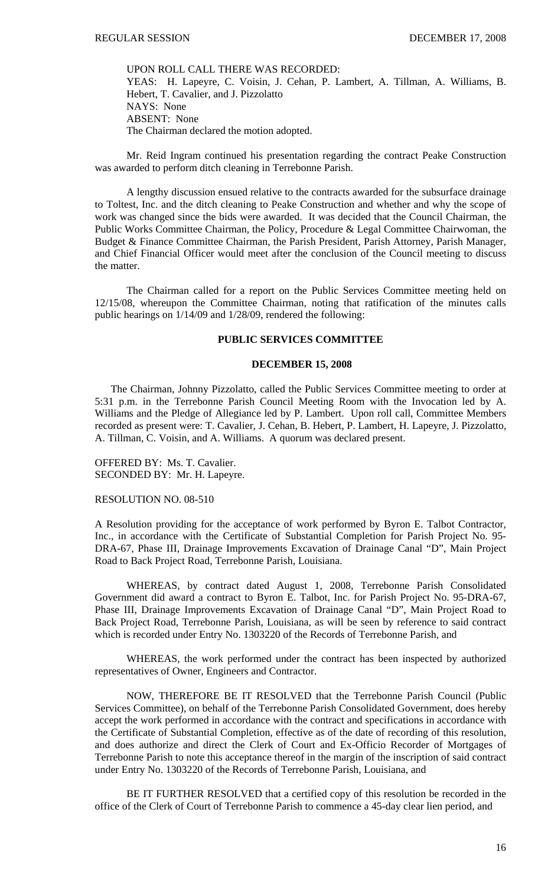UPON ROLL CALL THERE WAS RECORDED: YEAS: H. Lapeyre, C. Voisin, J. Cehan, P. Lambert, A. Tillman, A. Williams, B. Hebert, T. Cavalier, and J. Pizzolatto NAYS: None ABSENT: None The Chairman declared the motion adopted.

 Mr. Reid Ingram continued his presentation regarding the contract Peake Construction was awarded to perform ditch cleaning in Terrebonne Parish.

 A lengthy discussion ensued relative to the contracts awarded for the subsurface drainage to Toltest, Inc. and the ditch cleaning to Peake Construction and whether and why the scope of work was changed since the bids were awarded. It was decided that the Council Chairman, the Public Works Committee Chairman, the Policy, Procedure & Legal Committee Chairwoman, the Budget & Finance Committee Chairman, the Parish President, Parish Attorney, Parish Manager, and Chief Financial Officer would meet after the conclusion of the Council meeting to discuss the matter.

 The Chairman called for a report on the Public Services Committee meeting held on 12/15/08, whereupon the Committee Chairman, noting that ratification of the minutes calls public hearings on 1/14/09 and 1/28/09, rendered the following:

## **PUBLIC SERVICES COMMITTEE**

#### **DECEMBER 15, 2008**

 The Chairman, Johnny Pizzolatto, called the Public Services Committee meeting to order at 5:31 p.m. in the Terrebonne Parish Council Meeting Room with the Invocation led by A. Williams and the Pledge of Allegiance led by P. Lambert. Upon roll call, Committee Members recorded as present were: T. Cavalier, J. Cehan, B. Hebert, P. Lambert, H. Lapeyre, J. Pizzolatto, A. Tillman, C. Voisin, and A. Williams. A quorum was declared present.

OFFERED BY: Ms. T. Cavalier. SECONDED BY: Mr. H. Lapeyre.

## RESOLUTION NO. 08-510

A Resolution providing for the acceptance of work performed by Byron E. Talbot Contractor, Inc., in accordance with the Certificate of Substantial Completion for Parish Project No. 95- DRA-67, Phase III, Drainage Improvements Excavation of Drainage Canal "D", Main Project Road to Back Project Road, Terrebonne Parish, Louisiana.

 WHEREAS, by contract dated August 1, 2008, Terrebonne Parish Consolidated Government did award a contract to Byron E. Talbot, Inc. for Parish Project No. 95-DRA-67, Phase III, Drainage Improvements Excavation of Drainage Canal "D", Main Project Road to Back Project Road, Terrebonne Parish, Louisiana, as will be seen by reference to said contract which is recorded under Entry No. 1303220 of the Records of Terrebonne Parish, and

 WHEREAS, the work performed under the contract has been inspected by authorized representatives of Owner, Engineers and Contractor.

 NOW, THEREFORE BE IT RESOLVED that the Terrebonne Parish Council (Public Services Committee), on behalf of the Terrebonne Parish Consolidated Government, does hereby accept the work performed in accordance with the contract and specifications in accordance with the Certificate of Substantial Completion, effective as of the date of recording of this resolution, and does authorize and direct the Clerk of Court and Ex-Officio Recorder of Mortgages of Terrebonne Parish to note this acceptance thereof in the margin of the inscription of said contract under Entry No. 1303220 of the Records of Terrebonne Parish, Louisiana, and

 BE IT FURTHER RESOLVED that a certified copy of this resolution be recorded in the office of the Clerk of Court of Terrebonne Parish to commence a 45-day clear lien period, and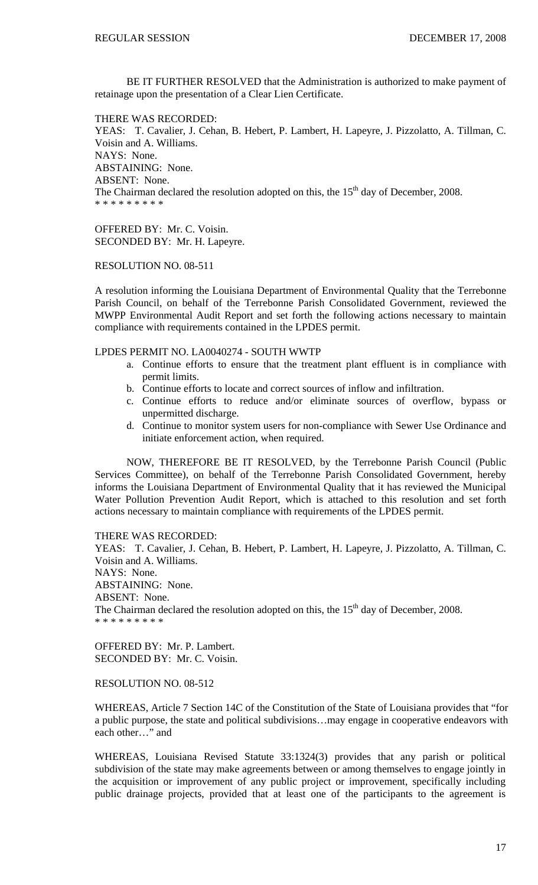BE IT FURTHER RESOLVED that the Administration is authorized to make payment of retainage upon the presentation of a Clear Lien Certificate.

THERE WAS RECORDED: YEAS: T. Cavalier, J. Cehan, B. Hebert, P. Lambert, H. Lapeyre, J. Pizzolatto, A. Tillman, C. Voisin and A. Williams. NAYS: None. ABSTAINING: None. ABSENT: None. The Chairman declared the resolution adopted on this, the  $15<sup>th</sup>$  day of December, 2008. \* \* \* \* \* \* \* \* \*

OFFERED BY: Mr. C. Voisin. SECONDED BY: Mr. H. Lapeyre.

RESOLUTION NO. 08-511

A resolution informing the Louisiana Department of Environmental Quality that the Terrebonne Parish Council, on behalf of the Terrebonne Parish Consolidated Government, reviewed the MWPP Environmental Audit Report and set forth the following actions necessary to maintain compliance with requirements contained in the LPDES permit.

LPDES PERMIT NO. LA0040274 - SOUTH WWTP

- a. Continue efforts to ensure that the treatment plant effluent is in compliance with permit limits.
- b. Continue efforts to locate and correct sources of inflow and infiltration.
- c. Continue efforts to reduce and/or eliminate sources of overflow, bypass or unpermitted discharge.
- d. Continue to monitor system users for non-compliance with Sewer Use Ordinance and initiate enforcement action, when required.

 NOW, THEREFORE BE IT RESOLVED, by the Terrebonne Parish Council (Public Services Committee), on behalf of the Terrebonne Parish Consolidated Government, hereby informs the Louisiana Department of Environmental Quality that it has reviewed the Municipal Water Pollution Prevention Audit Report, which is attached to this resolution and set forth actions necessary to maintain compliance with requirements of the LPDES permit.

THERE WAS RECORDED:

YEAS: T. Cavalier, J. Cehan, B. Hebert, P. Lambert, H. Lapeyre, J. Pizzolatto, A. Tillman, C. Voisin and A. Williams. NAYS: None. ABSTAINING: None. ABSENT: None.

The Chairman declared the resolution adopted on this, the  $15<sup>th</sup>$  day of December, 2008. \* \* \* \* \* \* \* \* \*

OFFERED BY: Mr. P. Lambert. SECONDED BY: Mr. C. Voisin.

RESOLUTION NO. 08-512

WHEREAS, Article 7 Section 14C of the Constitution of the State of Louisiana provides that "for a public purpose, the state and political subdivisions…may engage in cooperative endeavors with each other…" and

WHEREAS, Louisiana Revised Statute 33:1324(3) provides that any parish or political subdivision of the state may make agreements between or among themselves to engage jointly in the acquisition or improvement of any public project or improvement, specifically including public drainage projects, provided that at least one of the participants to the agreement is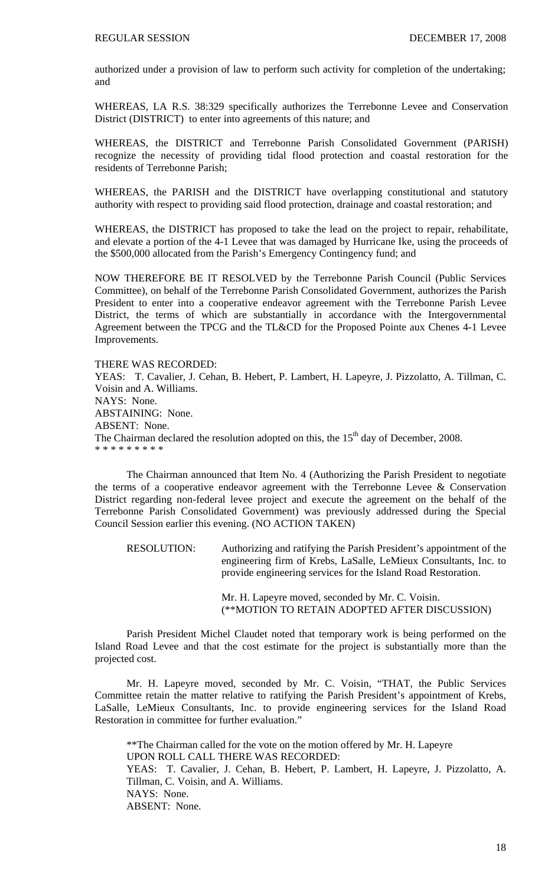authorized under a provision of law to perform such activity for completion of the undertaking; and

WHEREAS, LA R.S. 38:329 specifically authorizes the Terrebonne Levee and Conservation District (DISTRICT) to enter into agreements of this nature; and

WHEREAS, the DISTRICT and Terrebonne Parish Consolidated Government (PARISH) recognize the necessity of providing tidal flood protection and coastal restoration for the residents of Terrebonne Parish;

WHEREAS, the PARISH and the DISTRICT have overlapping constitutional and statutory authority with respect to providing said flood protection, drainage and coastal restoration; and

WHEREAS, the DISTRICT has proposed to take the lead on the project to repair, rehabilitate, and elevate a portion of the 4-1 Levee that was damaged by Hurricane Ike, using the proceeds of the \$500,000 allocated from the Parish's Emergency Contingency fund; and

NOW THEREFORE BE IT RESOLVED by the Terrebonne Parish Council (Public Services Committee), on behalf of the Terrebonne Parish Consolidated Government, authorizes the Parish President to enter into a cooperative endeavor agreement with the Terrebonne Parish Levee District, the terms of which are substantially in accordance with the Intergovernmental Agreement between the TPCG and the TL&CD for the Proposed Pointe aux Chenes 4-1 Levee Improvements.

THERE WAS RECORDED:

YEAS: T. Cavalier, J. Cehan, B. Hebert, P. Lambert, H. Lapeyre, J. Pizzolatto, A. Tillman, C. Voisin and A. Williams. NAYS: None. ABSTAINING: None. ABSENT: None. The Chairman declared the resolution adopted on this, the  $15<sup>th</sup>$  day of December, 2008. \* \* \* \* \* \* \* \* \*

The Chairman announced that Item No. 4 (Authorizing the Parish President to negotiate the terms of a cooperative endeavor agreement with the Terrebonne Levee & Conservation District regarding non-federal levee project and execute the agreement on the behalf of the Terrebonne Parish Consolidated Government) was previously addressed during the Special Council Session earlier this evening. (NO ACTION TAKEN)

RESOLUTION: Authorizing and ratifying the Parish President's appointment of the engineering firm of Krebs, LaSalle, LeMieux Consultants, Inc. to provide engineering services for the Island Road Restoration.

> Mr. H. Lapeyre moved, seconded by Mr. C. Voisin. (\*\*MOTION TO RETAIN ADOPTED AFTER DISCUSSION)

 Parish President Michel Claudet noted that temporary work is being performed on the Island Road Levee and that the cost estimate for the project is substantially more than the projected cost.

 Mr. H. Lapeyre moved, seconded by Mr. C. Voisin, "THAT, the Public Services Committee retain the matter relative to ratifying the Parish President's appointment of Krebs, LaSalle, LeMieux Consultants, Inc. to provide engineering services for the Island Road Restoration in committee for further evaluation."

 \*\*The Chairman called for the vote on the motion offered by Mr. H. Lapeyre UPON ROLL CALL THERE WAS RECORDED: YEAS: T. Cavalier, J. Cehan, B. Hebert, P. Lambert, H. Lapeyre, J. Pizzolatto, A. Tillman, C. Voisin, and A. Williams. NAYS: None. ABSENT: None.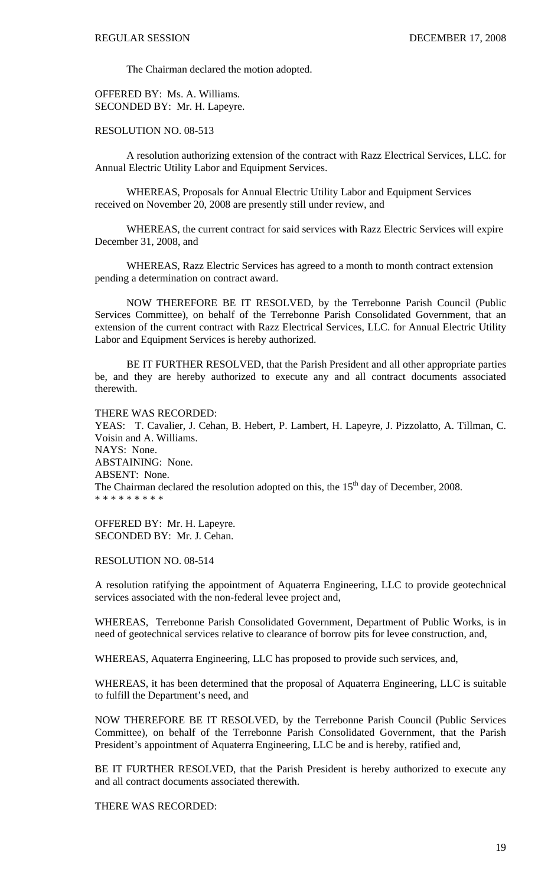The Chairman declared the motion adopted.

OFFERED BY: Ms. A. Williams. SECONDED BY: Mr. H. Lapeyre.

## RESOLUTION NO. 08-513

A resolution authorizing extension of the contract with Razz Electrical Services, LLC. for Annual Electric Utility Labor and Equipment Services.

WHEREAS, Proposals for Annual Electric Utility Labor and Equipment Services received on November 20, 2008 are presently still under review, and

WHEREAS, the current contract for said services with Razz Electric Services will expire December 31, 2008, and

WHEREAS, Razz Electric Services has agreed to a month to month contract extension pending a determination on contract award.

NOW THEREFORE BE IT RESOLVED, by the Terrebonne Parish Council (Public Services Committee), on behalf of the Terrebonne Parish Consolidated Government, that an extension of the current contract with Razz Electrical Services, LLC. for Annual Electric Utility Labor and Equipment Services is hereby authorized.

BE IT FURTHER RESOLVED, that the Parish President and all other appropriate parties be, and they are hereby authorized to execute any and all contract documents associated therewith.

#### THERE WAS RECORDED:

YEAS: T. Cavalier, J. Cehan, B. Hebert, P. Lambert, H. Lapeyre, J. Pizzolatto, A. Tillman, C. Voisin and A. Williams. NAYS: None. ABSTAINING: None. ABSENT: None. The Chairman declared the resolution adopted on this, the  $15<sup>th</sup>$  day of December, 2008. \* \* \* \* \* \* \* \* \*

OFFERED BY: Mr. H. Lapeyre. SECONDED BY: Mr. J. Cehan.

RESOLUTION NO. 08-514

A resolution ratifying the appointment of Aquaterra Engineering, LLC to provide geotechnical services associated with the non-federal levee project and,

WHEREAS, Terrebonne Parish Consolidated Government, Department of Public Works, is in need of geotechnical services relative to clearance of borrow pits for levee construction, and,

WHEREAS, Aquaterra Engineering, LLC has proposed to provide such services, and,

WHEREAS, it has been determined that the proposal of Aquaterra Engineering, LLC is suitable to fulfill the Department's need, and

NOW THEREFORE BE IT RESOLVED, by the Terrebonne Parish Council (Public Services Committee), on behalf of the Terrebonne Parish Consolidated Government, that the Parish President's appointment of Aquaterra Engineering, LLC be and is hereby, ratified and,

BE IT FURTHER RESOLVED, that the Parish President is hereby authorized to execute any and all contract documents associated therewith.

THERE WAS RECORDED: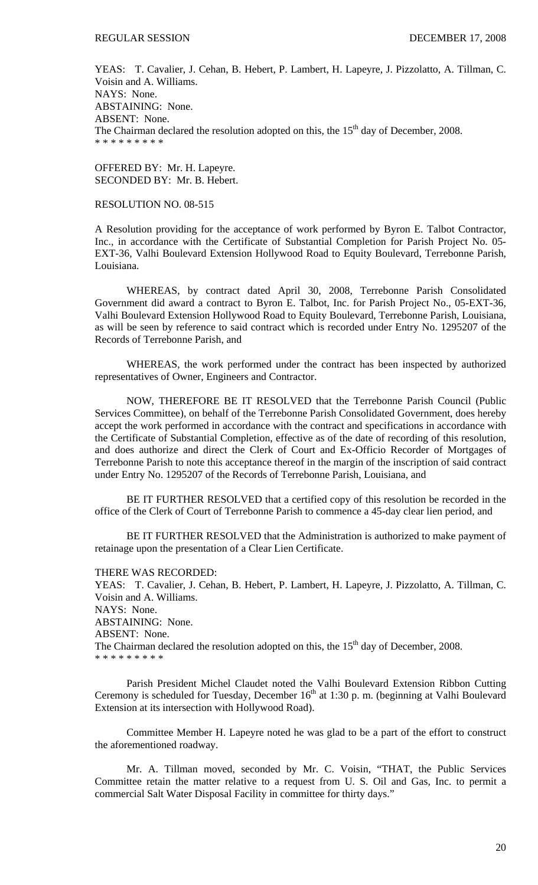YEAS: T. Cavalier, J. Cehan, B. Hebert, P. Lambert, H. Lapeyre, J. Pizzolatto, A. Tillman, C. Voisin and A. Williams. NAYS: None. ABSTAINING: None. ABSENT: None. The Chairman declared the resolution adopted on this, the  $15<sup>th</sup>$  day of December, 2008. \* \* \* \* \* \* \* \* \*

OFFERED BY: Mr. H. Lapeyre. SECONDED BY: Mr. B. Hebert.

## RESOLUTION NO. 08-515

A Resolution providing for the acceptance of work performed by Byron E. Talbot Contractor, Inc., in accordance with the Certificate of Substantial Completion for Parish Project No. 05- EXT-36, Valhi Boulevard Extension Hollywood Road to Equity Boulevard, Terrebonne Parish, Louisiana.

 WHEREAS, by contract dated April 30, 2008, Terrebonne Parish Consolidated Government did award a contract to Byron E. Talbot, Inc. for Parish Project No., 05-EXT-36, Valhi Boulevard Extension Hollywood Road to Equity Boulevard, Terrebonne Parish, Louisiana, as will be seen by reference to said contract which is recorded under Entry No. 1295207 of the Records of Terrebonne Parish, and

 WHEREAS, the work performed under the contract has been inspected by authorized representatives of Owner, Engineers and Contractor.

 NOW, THEREFORE BE IT RESOLVED that the Terrebonne Parish Council (Public Services Committee), on behalf of the Terrebonne Parish Consolidated Government, does hereby accept the work performed in accordance with the contract and specifications in accordance with the Certificate of Substantial Completion, effective as of the date of recording of this resolution, and does authorize and direct the Clerk of Court and Ex-Officio Recorder of Mortgages of Terrebonne Parish to note this acceptance thereof in the margin of the inscription of said contract under Entry No. 1295207 of the Records of Terrebonne Parish, Louisiana, and

 BE IT FURTHER RESOLVED that a certified copy of this resolution be recorded in the office of the Clerk of Court of Terrebonne Parish to commence a 45-day clear lien period, and

 BE IT FURTHER RESOLVED that the Administration is authorized to make payment of retainage upon the presentation of a Clear Lien Certificate.

THERE WAS RECORDED:

YEAS: T. Cavalier, J. Cehan, B. Hebert, P. Lambert, H. Lapeyre, J. Pizzolatto, A. Tillman, C. Voisin and A. Williams. NAYS: None. ABSTAINING: None. ABSENT: None. The Chairman declared the resolution adopted on this, the  $15<sup>th</sup>$  day of December, 2008. \* \* \* \* \* \* \* \* \*

 Parish President Michel Claudet noted the Valhi Boulevard Extension Ribbon Cutting Ceremony is scheduled for Tuesday, December 16<sup>th</sup> at 1:30 p.m. (beginning at Valhi Boulevard Extension at its intersection with Hollywood Road).

 Committee Member H. Lapeyre noted he was glad to be a part of the effort to construct the aforementioned roadway.

 Mr. A. Tillman moved, seconded by Mr. C. Voisin, "THAT, the Public Services Committee retain the matter relative to a request from U. S. Oil and Gas, Inc. to permit a commercial Salt Water Disposal Facility in committee for thirty days."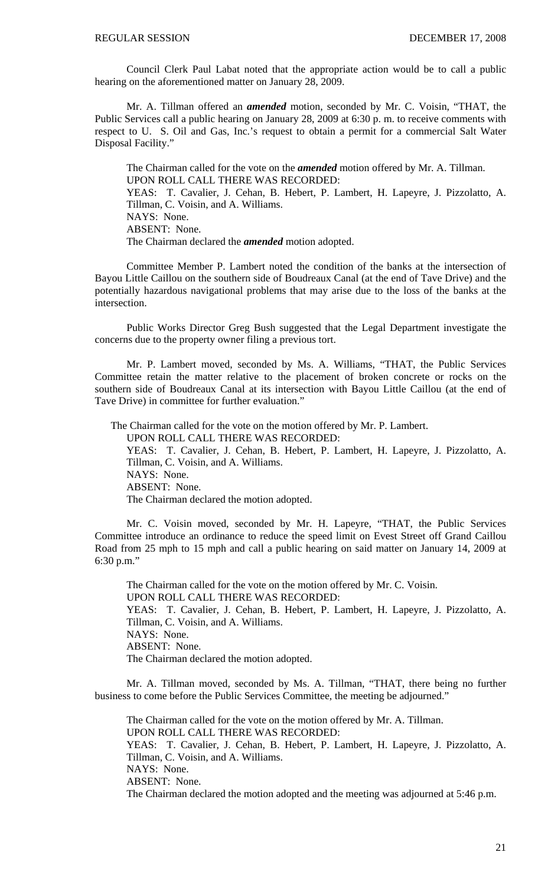Council Clerk Paul Labat noted that the appropriate action would be to call a public hearing on the aforementioned matter on January 28, 2009.

 Mr. A. Tillman offered an *amended* motion, seconded by Mr. C. Voisin, "THAT, the Public Services call a public hearing on January 28, 2009 at 6:30 p. m. to receive comments with respect to U. S. Oil and Gas, Inc.'s request to obtain a permit for a commercial Salt Water Disposal Facility."

The Chairman called for the vote on the *amended* motion offered by Mr. A. Tillman. UPON ROLL CALL THERE WAS RECORDED: YEAS: T. Cavalier, J. Cehan, B. Hebert, P. Lambert, H. Lapeyre, J. Pizzolatto, A. Tillman, C. Voisin, and A. Williams. NAYS: None. ABSENT: None. The Chairman declared the *amended* motion adopted.

 Committee Member P. Lambert noted the condition of the banks at the intersection of Bayou Little Caillou on the southern side of Boudreaux Canal (at the end of Tave Drive) and the potentially hazardous navigational problems that may arise due to the loss of the banks at the intersection.

 Public Works Director Greg Bush suggested that the Legal Department investigate the concerns due to the property owner filing a previous tort.

 Mr. P. Lambert moved, seconded by Ms. A. Williams, "THAT, the Public Services Committee retain the matter relative to the placement of broken concrete or rocks on the southern side of Boudreaux Canal at its intersection with Bayou Little Caillou (at the end of Tave Drive) in committee for further evaluation."

The Chairman called for the vote on the motion offered by Mr. P. Lambert.

UPON ROLL CALL THERE WAS RECORDED:

YEAS: T. Cavalier, J. Cehan, B. Hebert, P. Lambert, H. Lapeyre, J. Pizzolatto, A. Tillman, C. Voisin, and A. Williams. NAYS: None. ABSENT: None.

The Chairman declared the motion adopted.

 Mr. C. Voisin moved, seconded by Mr. H. Lapeyre, "THAT, the Public Services Committee introduce an ordinance to reduce the speed limit on Evest Street off Grand Caillou Road from 25 mph to 15 mph and call a public hearing on said matter on January 14, 2009 at 6:30 p.m."

 The Chairman called for the vote on the motion offered by Mr. C. Voisin. UPON ROLL CALL THERE WAS RECORDED: YEAS: T. Cavalier, J. Cehan, B. Hebert, P. Lambert, H. Lapeyre, J. Pizzolatto, A. Tillman, C. Voisin, and A. Williams. NAYS: None. ABSENT: None. The Chairman declared the motion adopted.

 Mr. A. Tillman moved, seconded by Ms. A. Tillman, "THAT, there being no further business to come before the Public Services Committee, the meeting be adjourned."

The Chairman called for the vote on the motion offered by Mr. A. Tillman.

UPON ROLL CALL THERE WAS RECORDED:

YEAS: T. Cavalier, J. Cehan, B. Hebert, P. Lambert, H. Lapeyre, J. Pizzolatto, A. Tillman, C. Voisin, and A. Williams.

NAYS: None.

ABSENT: None.

The Chairman declared the motion adopted and the meeting was adjourned at 5:46 p.m.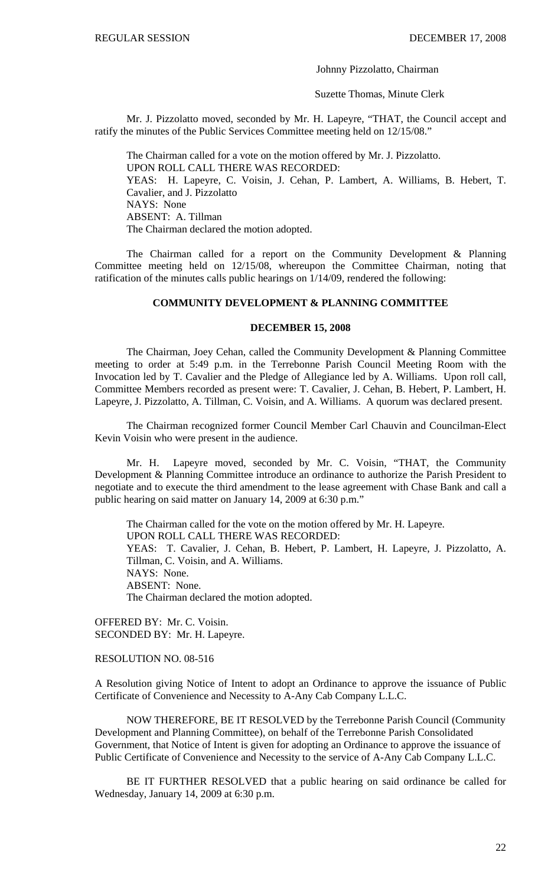Johnny Pizzolatto, Chairman

Suzette Thomas, Minute Clerk

Mr. J. Pizzolatto moved, seconded by Mr. H. Lapeyre, "THAT, the Council accept and ratify the minutes of the Public Services Committee meeting held on 12/15/08."

 The Chairman called for a vote on the motion offered by Mr. J. Pizzolatto. UPON ROLL CALL THERE WAS RECORDED: YEAS: H. Lapeyre, C. Voisin, J. Cehan, P. Lambert, A. Williams, B. Hebert, T. Cavalier, and J. Pizzolatto NAYS: None ABSENT: A. Tillman The Chairman declared the motion adopted.

 The Chairman called for a report on the Community Development & Planning Committee meeting held on 12/15/08, whereupon the Committee Chairman, noting that ratification of the minutes calls public hearings on 1/14/09, rendered the following:

#### **COMMUNITY DEVELOPMENT & PLANNING COMMITTEE**

#### **DECEMBER 15, 2008**

 The Chairman, Joey Cehan, called the Community Development & Planning Committee meeting to order at 5:49 p.m. in the Terrebonne Parish Council Meeting Room with the Invocation led by T. Cavalier and the Pledge of Allegiance led by A. Williams. Upon roll call, Committee Members recorded as present were: T. Cavalier, J. Cehan, B. Hebert, P. Lambert, H. Lapeyre, J. Pizzolatto, A. Tillman, C. Voisin, and A. Williams. A quorum was declared present.

 The Chairman recognized former Council Member Carl Chauvin and Councilman-Elect Kevin Voisin who were present in the audience.

 Mr. H. Lapeyre moved, seconded by Mr. C. Voisin, "THAT, the Community Development & Planning Committee introduce an ordinance to authorize the Parish President to negotiate and to execute the third amendment to the lease agreement with Chase Bank and call a public hearing on said matter on January 14, 2009 at 6:30 p.m."

The Chairman called for the vote on the motion offered by Mr. H. Lapeyre. UPON ROLL CALL THERE WAS RECORDED: YEAS: T. Cavalier, J. Cehan, B. Hebert, P. Lambert, H. Lapeyre, J. Pizzolatto, A. Tillman, C. Voisin, and A. Williams. NAYS: None. ABSENT: None. The Chairman declared the motion adopted.

OFFERED BY: Mr. C. Voisin. SECONDED BY: Mr. H. Lapeyre.

RESOLUTION NO. 08-516

A Resolution giving Notice of Intent to adopt an Ordinance to approve the issuance of Public Certificate of Convenience and Necessity to A-Any Cab Company L.L.C.

NOW THEREFORE, BE IT RESOLVED by the Terrebonne Parish Council (Community Development and Planning Committee), on behalf of the Terrebonne Parish Consolidated Government, that Notice of Intent is given for adopting an Ordinance to approve the issuance of Public Certificate of Convenience and Necessity to the service of A-Any Cab Company L.L.C.

 BE IT FURTHER RESOLVED that a public hearing on said ordinance be called for Wednesday, January 14, 2009 at 6:30 p.m.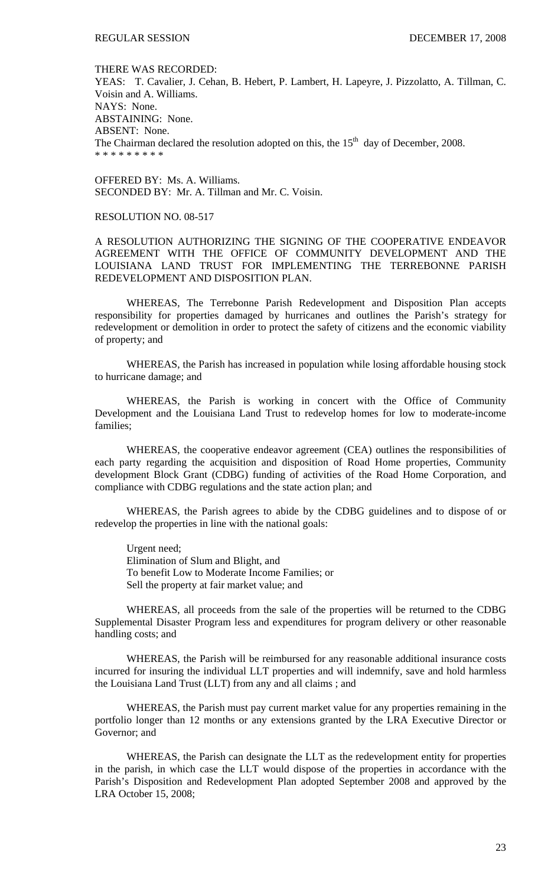#### THERE WAS RECORDED:

YEAS: T. Cavalier, J. Cehan, B. Hebert, P. Lambert, H. Lapeyre, J. Pizzolatto, A. Tillman, C. Voisin and A. Williams. NAYS: None. ABSTAINING: None. ABSENT: None. The Chairman declared the resolution adopted on this, the  $15<sup>th</sup>$  day of December, 2008. \* \* \* \* \* \* \* \* \*

OFFERED BY: Ms. A. Williams. SECONDED BY: Mr. A. Tillman and Mr. C. Voisin.

#### RESOLUTION NO. 08-517

A RESOLUTION AUTHORIZING THE SIGNING OF THE COOPERATIVE ENDEAVOR AGREEMENT WITH THE OFFICE OF COMMUNITY DEVELOPMENT AND THE LOUISIANA LAND TRUST FOR IMPLEMENTING THE TERREBONNE PARISH REDEVELOPMENT AND DISPOSITION PLAN.

WHEREAS, The Terrebonne Parish Redevelopment and Disposition Plan accepts responsibility for properties damaged by hurricanes and outlines the Parish's strategy for redevelopment or demolition in order to protect the safety of citizens and the economic viability of property; and

WHEREAS, the Parish has increased in population while losing affordable housing stock to hurricane damage; and

WHEREAS, the Parish is working in concert with the Office of Community Development and the Louisiana Land Trust to redevelop homes for low to moderate-income families;

WHEREAS, the cooperative endeavor agreement (CEA) outlines the responsibilities of each party regarding the acquisition and disposition of Road Home properties, Community development Block Grant (CDBG) funding of activities of the Road Home Corporation, and compliance with CDBG regulations and the state action plan; and

WHEREAS, the Parish agrees to abide by the CDBG guidelines and to dispose of or redevelop the properties in line with the national goals:

Urgent need; Elimination of Slum and Blight, and To benefit Low to Moderate Income Families; or Sell the property at fair market value; and

WHEREAS, all proceeds from the sale of the properties will be returned to the CDBG Supplemental Disaster Program less and expenditures for program delivery or other reasonable handling costs; and

WHEREAS, the Parish will be reimbursed for any reasonable additional insurance costs incurred for insuring the individual LLT properties and will indemnify, save and hold harmless the Louisiana Land Trust (LLT) from any and all claims ; and

WHEREAS, the Parish must pay current market value for any properties remaining in the portfolio longer than 12 months or any extensions granted by the LRA Executive Director or Governor; and

WHEREAS, the Parish can designate the LLT as the redevelopment entity for properties in the parish, in which case the LLT would dispose of the properties in accordance with the Parish's Disposition and Redevelopment Plan adopted September 2008 and approved by the LRA October 15, 2008;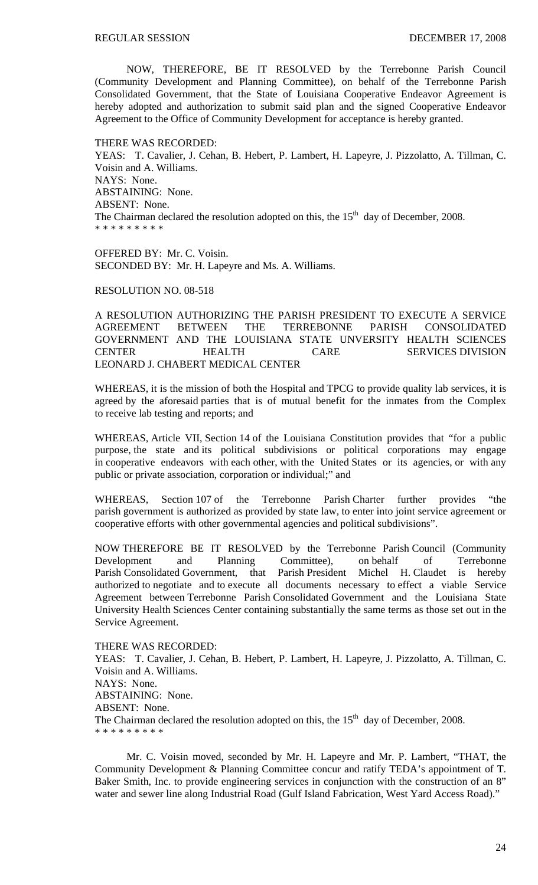NOW, THEREFORE, BE IT RESOLVED by the Terrebonne Parish Council (Community Development and Planning Committee), on behalf of the Terrebonne Parish Consolidated Government, that the State of Louisiana Cooperative Endeavor Agreement is hereby adopted and authorization to submit said plan and the signed Cooperative Endeavor Agreement to the Office of Community Development for acceptance is hereby granted.

#### THERE WAS RECORDED:

YEAS: T. Cavalier, J. Cehan, B. Hebert, P. Lambert, H. Lapeyre, J. Pizzolatto, A. Tillman, C. Voisin and A. Williams. NAYS: None. ABSTAINING: None. ABSENT: None. The Chairman declared the resolution adopted on this, the  $15<sup>th</sup>$  day of December, 2008. \* \* \* \* \* \* \* \* \*

OFFERED BY: Mr. C. Voisin. SECONDED BY: Mr. H. Lapeyre and Ms. A. Williams.

RESOLUTION NO. 08-518

A RESOLUTION AUTHORIZING THE PARISH PRESIDENT TO EXECUTE A SERVICE AGREEMENT BETWEEN THE TERREBONNE PARISH CONSOLIDATED GOVERNMENT AND THE LOUISIANA STATE UNVERSITY HEALTH SCIENCES CENTER HEALTH CARE SERVICES DIVISION LEONARD J. CHABERT MEDICAL CENTER

WHEREAS, it is the mission of both the Hospital and TPCG to provide quality lab services, it is agreed by the aforesaid parties that is of mutual benefit for the inmates from the Complex to receive lab testing and reports; and

WHEREAS, Article VII, Section 14 of the Louisiana Constitution provides that "for a public purpose, the state and its political subdivisions or political corporations may engage in cooperative endeavors with each other, with the United States or its agencies, or with any public or private association, corporation or individual;" and

WHEREAS, Section 107 of the Terrebonne Parish Charter further provides "the parish government is authorized as provided by state law, to enter into joint service agreement or cooperative efforts with other governmental agencies and political subdivisions".

NOW THEREFORE BE IT RESOLVED by the Terrebonne Parish Council (Community Development and Planning Committee), on behalf of Terrebonne Parish Consolidated Government, that Parish President Michel H. Claudet is hereby authorized to negotiate and to execute all documents necessary to effect a viable Service Agreement between Terrebonne Parish Consolidated Government and the Louisiana State University Health Sciences Center containing substantially the same terms as those set out in the Service Agreement.

THERE WAS RECORDED:

YEAS: T. Cavalier, J. Cehan, B. Hebert, P. Lambert, H. Lapeyre, J. Pizzolatto, A. Tillman, C. Voisin and A. Williams. NAYS: None. ABSTAINING: None. ABSENT: None. The Chairman declared the resolution adopted on this, the  $15<sup>th</sup>$  day of December, 2008. \* \* \* \* \* \* \* \* \*

 Mr. C. Voisin moved, seconded by Mr. H. Lapeyre and Mr. P. Lambert, "THAT, the Community Development & Planning Committee concur and ratify TEDA's appointment of T. Baker Smith, Inc. to provide engineering services in conjunction with the construction of an 8" water and sewer line along Industrial Road (Gulf Island Fabrication, West Yard Access Road)."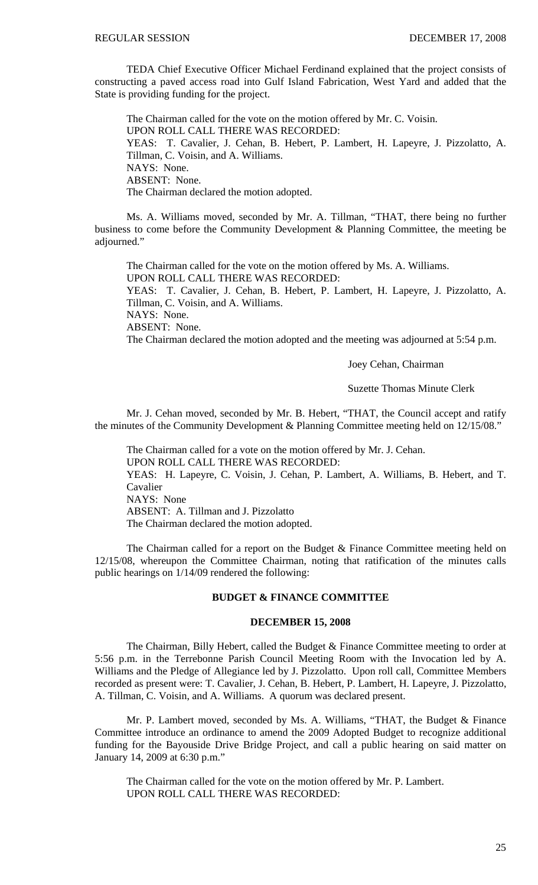TEDA Chief Executive Officer Michael Ferdinand explained that the project consists of constructing a paved access road into Gulf Island Fabrication, West Yard and added that the State is providing funding for the project.

The Chairman called for the vote on the motion offered by Mr. C. Voisin. UPON ROLL CALL THERE WAS RECORDED: YEAS: T. Cavalier, J. Cehan, B. Hebert, P. Lambert, H. Lapeyre, J. Pizzolatto, A. Tillman, C. Voisin, and A. Williams. NAYS: None. ABSENT: None. The Chairman declared the motion adopted.

 Ms. A. Williams moved, seconded by Mr. A. Tillman, "THAT, there being no further business to come before the Community Development & Planning Committee, the meeting be adjourned."

 The Chairman called for the vote on the motion offered by Ms. A. Williams. UPON ROLL CALL THERE WAS RECORDED: YEAS: T. Cavalier, J. Cehan, B. Hebert, P. Lambert, H. Lapeyre, J. Pizzolatto, A. Tillman, C. Voisin, and A. Williams. NAYS: None. ABSENT: None. The Chairman declared the motion adopted and the meeting was adjourned at 5:54 p.m.

Joey Cehan, Chairman

Suzette Thomas Minute Clerk

Mr. J. Cehan moved, seconded by Mr. B. Hebert, "THAT, the Council accept and ratify the minutes of the Community Development & Planning Committee meeting held on 12/15/08."

 The Chairman called for a vote on the motion offered by Mr. J. Cehan. UPON ROLL CALL THERE WAS RECORDED: YEAS: H. Lapeyre, C. Voisin, J. Cehan, P. Lambert, A. Williams, B. Hebert, and T. Cavalier NAYS: None ABSENT: A. Tillman and J. Pizzolatto The Chairman declared the motion adopted.

The Chairman called for a report on the Budget & Finance Committee meeting held on 12/15/08, whereupon the Committee Chairman, noting that ratification of the minutes calls public hearings on 1/14/09 rendered the following:

# **BUDGET & FINANCE COMMITTEE**

#### **DECEMBER 15, 2008**

 The Chairman, Billy Hebert, called the Budget & Finance Committee meeting to order at 5:56 p.m. in the Terrebonne Parish Council Meeting Room with the Invocation led by A. Williams and the Pledge of Allegiance led by J. Pizzolatto. Upon roll call, Committee Members recorded as present were: T. Cavalier, J. Cehan, B. Hebert, P. Lambert, H. Lapeyre, J. Pizzolatto, A. Tillman, C. Voisin, and A. Williams. A quorum was declared present.

 Mr. P. Lambert moved, seconded by Ms. A. Williams, "THAT, the Budget & Finance Committee introduce an ordinance to amend the 2009 Adopted Budget to recognize additional funding for the Bayouside Drive Bridge Project, and call a public hearing on said matter on January 14, 2009 at 6:30 p.m."

 The Chairman called for the vote on the motion offered by Mr. P. Lambert. UPON ROLL CALL THERE WAS RECORDED: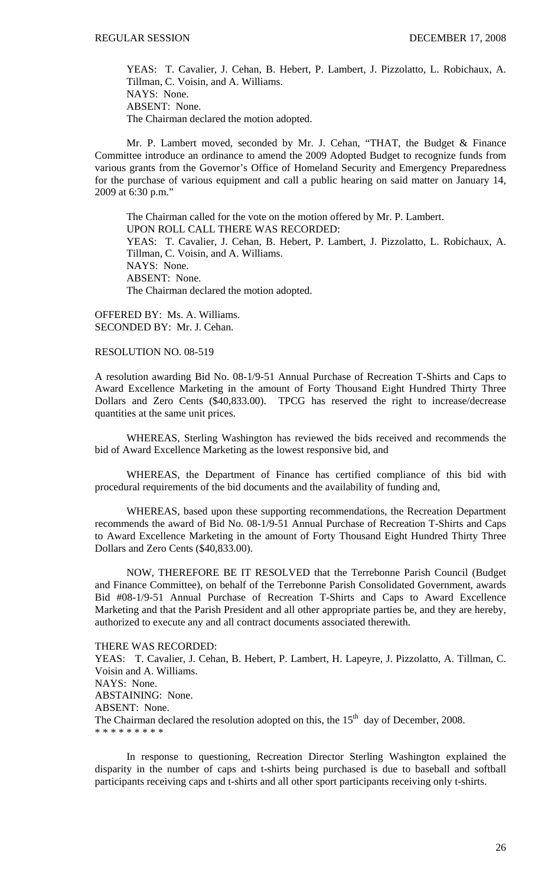YEAS: T. Cavalier, J. Cehan, B. Hebert, P. Lambert, J. Pizzolatto, L. Robichaux, A. Tillman, C. Voisin, and A. Williams. NAYS: None. ABSENT: None. The Chairman declared the motion adopted.

 Mr. P. Lambert moved, seconded by Mr. J. Cehan, "THAT, the Budget & Finance Committee introduce an ordinance to amend the 2009 Adopted Budget to recognize funds from various grants from the Governor's Office of Homeland Security and Emergency Preparedness for the purchase of various equipment and call a public hearing on said matter on January 14, 2009 at 6:30 p.m."

 The Chairman called for the vote on the motion offered by Mr. P. Lambert. UPON ROLL CALL THERE WAS RECORDED: YEAS: T. Cavalier, J. Cehan, B. Hebert, P. Lambert, J. Pizzolatto, L. Robichaux, A. Tillman, C. Voisin, and A. Williams. NAYS: None. ABSENT: None. The Chairman declared the motion adopted.

OFFERED BY: Ms. A. Williams. SECONDED BY: Mr. J. Cehan.

## RESOLUTION NO. 08-519

A resolution awarding Bid No. 08-1/9-51 Annual Purchase of Recreation T-Shirts and Caps to Award Excellence Marketing in the amount of Forty Thousand Eight Hundred Thirty Three Dollars and Zero Cents (\$40,833.00). TPCG has reserved the right to increase/decrease quantities at the same unit prices.

 WHEREAS, Sterling Washington has reviewed the bids received and recommends the bid of Award Excellence Marketing as the lowest responsive bid, and

 WHEREAS, the Department of Finance has certified compliance of this bid with procedural requirements of the bid documents and the availability of funding and,

 WHEREAS, based upon these supporting recommendations, the Recreation Department recommends the award of Bid No. 08-1/9-51 Annual Purchase of Recreation T-Shirts and Caps to Award Excellence Marketing in the amount of Forty Thousand Eight Hundred Thirty Three Dollars and Zero Cents (\$40,833.00).

 NOW, THEREFORE BE IT RESOLVED that the Terrebonne Parish Council (Budget and Finance Committee), on behalf of the Terrebonne Parish Consolidated Government, awards Bid #08-1/9-51 Annual Purchase of Recreation T-Shirts and Caps to Award Excellence Marketing and that the Parish President and all other appropriate parties be, and they are hereby, authorized to execute any and all contract documents associated therewith.

#### THERE WAS RECORDED:

YEAS: T. Cavalier, J. Cehan, B. Hebert, P. Lambert, H. Lapeyre, J. Pizzolatto, A. Tillman, C. Voisin and A. Williams. NAYS: None. ABSTAINING: None. ABSENT: None. The Chairman declared the resolution adopted on this, the  $15<sup>th</sup>$  day of December, 2008. \* \* \* \* \* \* \* \* \*

 In response to questioning, Recreation Director Sterling Washington explained the disparity in the number of caps and t-shirts being purchased is due to baseball and softball participants receiving caps and t-shirts and all other sport participants receiving only t-shirts.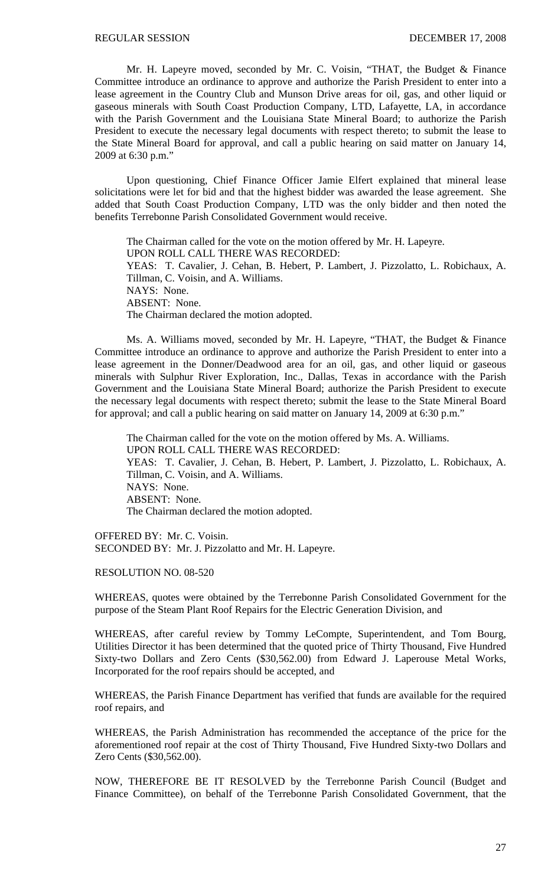Mr. H. Lapeyre moved, seconded by Mr. C. Voisin, "THAT, the Budget & Finance Committee introduce an ordinance to approve and authorize the Parish President to enter into a lease agreement in the Country Club and Munson Drive areas for oil, gas, and other liquid or gaseous minerals with South Coast Production Company, LTD, Lafayette, LA, in accordance with the Parish Government and the Louisiana State Mineral Board; to authorize the Parish President to execute the necessary legal documents with respect thereto; to submit the lease to the State Mineral Board for approval, and call a public hearing on said matter on January 14, 2009 at 6:30 p.m."

 Upon questioning, Chief Finance Officer Jamie Elfert explained that mineral lease solicitations were let for bid and that the highest bidder was awarded the lease agreement. She added that South Coast Production Company, LTD was the only bidder and then noted the benefits Terrebonne Parish Consolidated Government would receive.

 The Chairman called for the vote on the motion offered by Mr. H. Lapeyre. UPON ROLL CALL THERE WAS RECORDED: YEAS: T. Cavalier, J. Cehan, B. Hebert, P. Lambert, J. Pizzolatto, L. Robichaux, A. Tillman, C. Voisin, and A. Williams. NAYS: None. ABSENT: None. The Chairman declared the motion adopted.

 Ms. A. Williams moved, seconded by Mr. H. Lapeyre, "THAT, the Budget & Finance Committee introduce an ordinance to approve and authorize the Parish President to enter into a lease agreement in the Donner/Deadwood area for an oil, gas, and other liquid or gaseous minerals with Sulphur River Exploration, Inc., Dallas, Texas in accordance with the Parish Government and the Louisiana State Mineral Board; authorize the Parish President to execute the necessary legal documents with respect thereto; submit the lease to the State Mineral Board for approval; and call a public hearing on said matter on January 14, 2009 at 6:30 p.m."

 The Chairman called for the vote on the motion offered by Ms. A. Williams. UPON ROLL CALL THERE WAS RECORDED: YEAS: T. Cavalier, J. Cehan, B. Hebert, P. Lambert, J. Pizzolatto, L. Robichaux, A. Tillman, C. Voisin, and A. Williams. NAYS: None. ABSENT: None. The Chairman declared the motion adopted.

OFFERED BY: Mr. C. Voisin. SECONDED BY: Mr. J. Pizzolatto and Mr. H. Lapeyre.

RESOLUTION NO. 08-520

WHEREAS, quotes were obtained by the Terrebonne Parish Consolidated Government for the purpose of the Steam Plant Roof Repairs for the Electric Generation Division, and

WHEREAS, after careful review by Tommy LeCompte, Superintendent, and Tom Bourg, Utilities Director it has been determined that the quoted price of Thirty Thousand, Five Hundred Sixty-two Dollars and Zero Cents (\$30,562.00) from Edward J. Laperouse Metal Works, Incorporated for the roof repairs should be accepted, and

WHEREAS, the Parish Finance Department has verified that funds are available for the required roof repairs, and

WHEREAS, the Parish Administration has recommended the acceptance of the price for the aforementioned roof repair at the cost of Thirty Thousand, Five Hundred Sixty-two Dollars and Zero Cents (\$30,562.00).

NOW, THEREFORE BE IT RESOLVED by the Terrebonne Parish Council (Budget and Finance Committee), on behalf of the Terrebonne Parish Consolidated Government, that the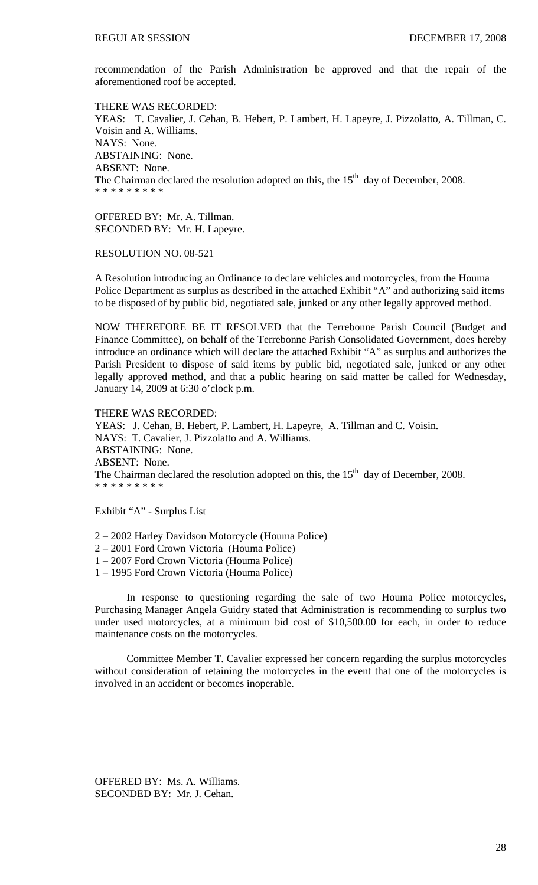recommendation of the Parish Administration be approved and that the repair of the aforementioned roof be accepted.

THERE WAS RECORDED: YEAS: T. Cavalier, J. Cehan, B. Hebert, P. Lambert, H. Lapeyre, J. Pizzolatto, A. Tillman, C. Voisin and A. Williams. NAYS: None. ABSTAINING: None. ABSENT: None. The Chairman declared the resolution adopted on this, the  $15<sup>th</sup>$  day of December, 2008. \* \* \* \* \* \* \* \* \*

OFFERED BY: Mr. A. Tillman. SECONDED BY: Mr. H. Lapeyre.

RESOLUTION NO. 08-521

A Resolution introducing an Ordinance to declare vehicles and motorcycles, from the Houma Police Department as surplus as described in the attached Exhibit "A" and authorizing said items to be disposed of by public bid, negotiated sale, junked or any other legally approved method.

NOW THEREFORE BE IT RESOLVED that the Terrebonne Parish Council (Budget and Finance Committee), on behalf of the Terrebonne Parish Consolidated Government, does hereby introduce an ordinance which will declare the attached Exhibit "A" as surplus and authorizes the Parish President to dispose of said items by public bid, negotiated sale, junked or any other legally approved method, and that a public hearing on said matter be called for Wednesday, January 14, 2009 at 6:30 o'clock p.m.

THERE WAS RECORDED:

YEAS: J. Cehan, B. Hebert, P. Lambert, H. Lapeyre, A. Tillman and C. Voisin. NAYS: T. Cavalier, J. Pizzolatto and A. Williams. ABSTAINING: None. ABSENT: None. The Chairman declared the resolution adopted on this, the  $15<sup>th</sup>$  day of December, 2008. \* \* \* \* \* \* \* \* \*

Exhibit "A" - Surplus List

- 2 2002 Harley Davidson Motorcycle (Houma Police)
- 2 2001 Ford Crown Victoria (Houma Police)
- 1 2007 Ford Crown Victoria (Houma Police)
- 1 1995 Ford Crown Victoria (Houma Police)

 In response to questioning regarding the sale of two Houma Police motorcycles, Purchasing Manager Angela Guidry stated that Administration is recommending to surplus two under used motorcycles, at a minimum bid cost of \$10,500.00 for each, in order to reduce maintenance costs on the motorcycles.

 Committee Member T. Cavalier expressed her concern regarding the surplus motorcycles without consideration of retaining the motorcycles in the event that one of the motorcycles is involved in an accident or becomes inoperable.

OFFERED BY: Ms. A. Williams. SECONDED BY: Mr. J. Cehan.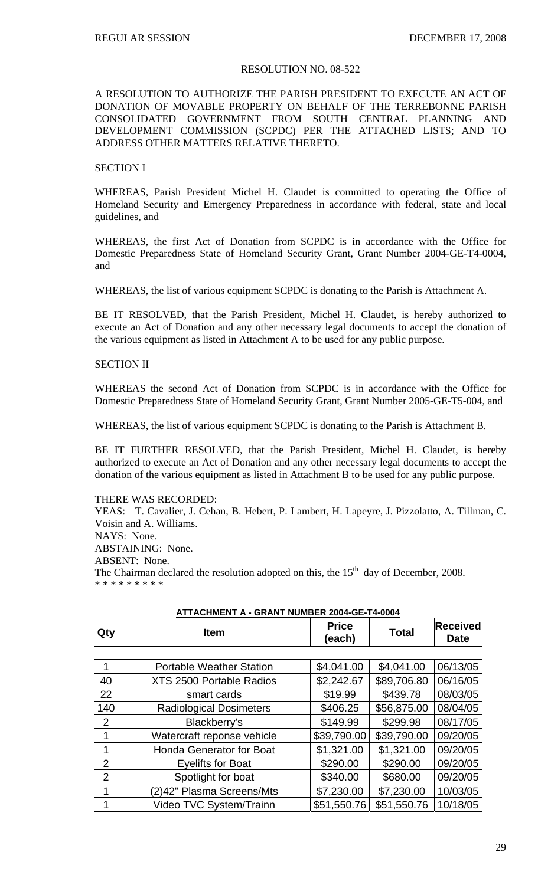#### RESOLUTION NO. 08-522

## A RESOLUTION TO AUTHORIZE THE PARISH PRESIDENT TO EXECUTE AN ACT OF DONATION OF MOVABLE PROPERTY ON BEHALF OF THE TERREBONNE PARISH CONSOLIDATED GOVERNMENT FROM SOUTH CENTRAL PLANNING AND DEVELOPMENT COMMISSION (SCPDC) PER THE ATTACHED LISTS; AND TO ADDRESS OTHER MATTERS RELATIVE THERETO.

#### SECTION I

WHEREAS, Parish President Michel H. Claudet is committed to operating the Office of Homeland Security and Emergency Preparedness in accordance with federal, state and local guidelines, and

WHEREAS, the first Act of Donation from SCPDC is in accordance with the Office for Domestic Preparedness State of Homeland Security Grant, Grant Number 2004-GE-T4-0004, and

WHEREAS, the list of various equipment SCPDC is donating to the Parish is Attachment A.

BE IT RESOLVED, that the Parish President, Michel H. Claudet, is hereby authorized to execute an Act of Donation and any other necessary legal documents to accept the donation of the various equipment as listed in Attachment A to be used for any public purpose.

## SECTION II

WHEREAS the second Act of Donation from SCPDC is in accordance with the Office for Domestic Preparedness State of Homeland Security Grant, Grant Number 2005-GE-T5-004, and

WHEREAS, the list of various equipment SCPDC is donating to the Parish is Attachment B.

BE IT FURTHER RESOLVED, that the Parish President, Michel H. Claudet, is hereby authorized to execute an Act of Donation and any other necessary legal documents to accept the donation of the various equipment as listed in Attachment B to be used for any public purpose.

#### THERE WAS RECORDED:

YEAS: T. Cavalier, J. Cehan, B. Hebert, P. Lambert, H. Lapeyre, J. Pizzolatto, A. Tillman, C. Voisin and A. Williams. NAYS: None. ABSTAINING: None. ABSENT: None. The Chairman declared the resolution adopted on this, the  $15<sup>th</sup>$  day of December, 2008. \* \* \* \* \* \* \* \* \*

|                | ATTACHMENT A - GRANT NUMBER 2004-GE-T4-0004 |              |              |                 |
|----------------|---------------------------------------------|--------------|--------------|-----------------|
| Qty            | <b>Item</b>                                 | <b>Price</b> | <b>Total</b> | <b>Received</b> |
|                |                                             | (each)       |              | <b>Date</b>     |
|                |                                             |              |              |                 |
|                | <b>Portable Weather Station</b>             | \$4,041.00   | \$4,041.00   | 06/13/05        |
| 40             | XTS 2500 Portable Radios                    | \$2,242.67   | \$89,706.80  | 06/16/05        |
| 22             | smart cards                                 | \$19.99      | \$439.78     | 08/03/05        |
| 140            | <b>Radiological Dosimeters</b>              | \$406.25     | \$56,875.00  | 08/04/05        |
| $\overline{2}$ | Blackberry's                                | \$149.99     | \$299.98     | 08/17/05        |
| 1              | Watercraft reponse vehicle                  | \$39,790.00  | \$39,790.00  | 09/20/05        |
| 1              | Honda Generator for Boat                    | \$1,321.00   | \$1,321.00   | 09/20/05        |
| $\overline{2}$ | <b>Eyelifts for Boat</b>                    | \$290.00     | \$290.00     | 09/20/05        |
| $\overline{2}$ | Spotlight for boat                          | \$340.00     | \$680.00     | 09/20/05        |
| 1              | (2)42" Plasma Screens/Mts                   | \$7,230.00   | \$7,230.00   | 10/03/05        |
| 1              | Video TVC System/Trainn                     | \$51,550.76  | \$51,550.76  | 10/18/05        |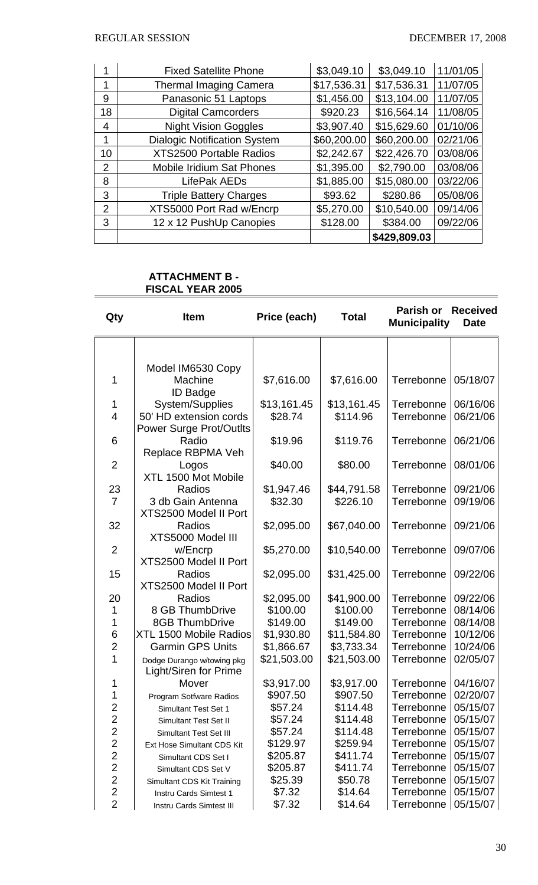|    | <b>Fixed Satellite Phone</b>        | \$3,049.10  | \$3,049.10   | 11/01/05 |
|----|-------------------------------------|-------------|--------------|----------|
|    |                                     |             |              |          |
| 1  | <b>Thermal Imaging Camera</b>       | \$17,536.31 | \$17,536.31  | 11/07/05 |
| 9  | Panasonic 51 Laptops                | \$1,456.00  | \$13,104.00  | 11/07/05 |
| 18 | <b>Digital Camcorders</b>           | \$920.23    | \$16,564.14  | 11/08/05 |
| 4  | <b>Night Vision Goggles</b>         | \$3,907.40  | \$15,629.60  | 01/10/06 |
| 1  | <b>Dialogic Notification System</b> | \$60,200.00 | \$60,200.00  | 02/21/06 |
| 10 | <b>XTS2500 Portable Radios</b>      | \$2,242.67  | \$22,426.70  | 03/08/06 |
| 2  | <b>Mobile Iridium Sat Phones</b>    | \$1,395.00  | \$2,790.00   | 03/08/06 |
| 8  | LifePak AEDs                        | \$1,885.00  | \$15,080.00  | 03/22/06 |
| 3  | <b>Triple Battery Charges</b>       | \$93.62     | \$280.86     | 05/08/06 |
| 2  | XTS5000 Port Rad w/Encrp            | \$5,270.00  | \$10,540.00  | 09/14/06 |
| 3  | 12 x 12 PushUp Canopies             | \$128.00    | \$384.00     | 09/22/06 |
|    |                                     |             | \$429,809.03 |          |

# **ATTACHMENT B - FISCAL YEAR 2005**

| Qty            | <b>Item</b>                                     | Price (each)           | <b>Total</b>           | Parish or<br><b>Municipality</b> | <b>Received</b><br><b>Date</b> |
|----------------|-------------------------------------------------|------------------------|------------------------|----------------------------------|--------------------------------|
|                |                                                 |                        |                        |                                  |                                |
|                | Model IM6530 Copy                               |                        |                        |                                  |                                |
| 1              | Machine                                         | \$7,616.00             | \$7,616.00             | Terrebonne                       | 05/18/07                       |
|                | <b>ID Badge</b>                                 |                        |                        |                                  |                                |
| 1              | System/Supplies                                 | \$13,161.45            | \$13,161.45            | Terrebonne                       | 06/16/06                       |
| $\overline{4}$ | 50' HD extension cords                          | \$28.74                | \$114.96               | Terrebonne                       | 06/21/06                       |
|                | <b>Power Surge Prot/Outlts</b>                  |                        |                        |                                  |                                |
| 6              | Radio                                           | \$19.96                | \$119.76               | Terrebonne                       | 06/21/06                       |
| $\overline{2}$ | Replace RBPMA Veh                               | \$40.00                | \$80.00                | Terrebonne                       | 08/01/06                       |
|                | Logos<br>XTL 1500 Mot Mobile                    |                        |                        |                                  |                                |
| 23             | Radios                                          | \$1,947.46             | \$44,791.58            | Terrebonne                       | 09/21/06                       |
| $\overline{7}$ | 3 db Gain Antenna                               | \$32.30                | \$226.10               | Terrebonne                       | 09/19/06                       |
|                | XTS2500 Model II Port                           |                        |                        |                                  |                                |
| 32             | Radios                                          | \$2,095.00             | \$67,040.00            | Terrebonne                       | 09/21/06                       |
|                | XTS5000 Model III                               |                        |                        |                                  |                                |
| $\overline{2}$ | w/Encrp                                         | \$5,270.00             | \$10,540.00            | Terrebonne                       | 09/07/06                       |
| 15             | XTS2500 Model II Port<br>Radios                 | \$2,095.00             | \$31,425.00            | Terrebonne                       | 09/22/06                       |
|                | XTS2500 Model II Port                           |                        |                        |                                  |                                |
| 20             | Radios                                          | \$2,095.00             | \$41,900.00            | Terrebonne                       | 09/22/06                       |
| 1              | 8 GB ThumbDrive                                 | \$100.00               | \$100.00               | Terrebonne                       | 08/14/06                       |
| 1              | <b>8GB ThumbDrive</b>                           | \$149.00               | \$149.00               | Terrebonne                       | 08/14/08                       |
| 6              | XTL 1500 Mobile Radios                          | \$1,930.80             | \$11,584.80            | Terrebonne                       | 10/12/06                       |
| $\overline{2}$ | <b>Garmin GPS Units</b>                         | \$1,866.67             | \$3,733.34             | Terrebonne                       | 10/24/06                       |
| 1              | Dodge Durango w/towing pkg                      | \$21,503.00            | \$21,503.00            | Terrebonne                       | 02/05/07                       |
|                | <b>Light/Siren for Prime</b>                    |                        |                        |                                  |                                |
| 1<br>1         | Mover                                           | \$3,917.00<br>\$907.50 | \$3,917.00<br>\$907.50 | Terrebonne<br>Terrebonne         | 04/16/07<br>02/20/07           |
| 2              | Program Sotfware Radios<br>Simultant Test Set 1 | \$57.24                | \$114.48               | Terrebonne                       | 05/15/07                       |
| $\mathbf{2}$   | Simultant Test Set II                           | \$57.24                | \$114.48               | Terrebonne                       | 05/15/07                       |
| $\overline{c}$ | Simultant Test Set III                          | \$57.24                | \$114.48               | Terrebonne                       | 05/15/07                       |
| $\overline{c}$ | Ext Hose Simultant CDS Kit                      | \$129.97               | \$259.94               | Terrebonne                       | 05/15/07                       |
| $\overline{c}$ | Simultant CDS Set I                             | \$205.87               | \$411.74               | Terrebonne                       | 05/15/07                       |
| $\overline{c}$ | Simultant CDS Set V                             | \$205.87               | \$411.74               | Terrebonne                       | 05/15/07                       |
| $\overline{2}$ | Simultant CDS Kit Training                      | \$25.39                | \$50.78                | Terrebonne                       | 05/15/07                       |
| $\overline{c}$ | Instru Cards Simtest 1                          | \$7.32                 | \$14.64                | Terrebonne                       | 05/15/07                       |
| $\overline{2}$ | Instru Cards Simtest III                        | \$7.32                 | \$14.64                | Terrebonne                       | 05/15/07                       |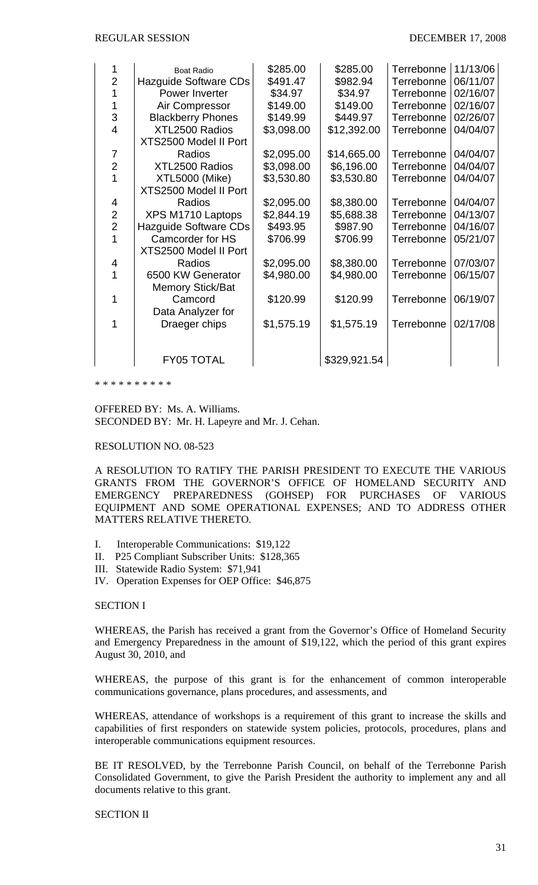|                | <b>Boat Radio</b>        | \$285.00   | \$285.00     | Terrebonne | 11/13/06 |
|----------------|--------------------------|------------|--------------|------------|----------|
| $\overline{2}$ | Hazguide Software CDs    | \$491.47   | \$982.94     | Terrebonne | 06/11/07 |
| 1              | Power Inverter           | \$34.97    | \$34.97      | Terrebonne | 02/16/07 |
| 1              | Air Compressor           | \$149.00   | \$149.00     | Terrebonne | 02/16/07 |
| 3              | <b>Blackberry Phones</b> | \$149.99   | \$449.97     | Terrebonne | 02/26/07 |
| 4              | XTL2500 Radios           | \$3,098.00 | \$12,392.00  | Terrebonne | 04/04/07 |
|                |                          |            |              |            |          |
|                | XTS2500 Model II Port    |            |              |            |          |
| $\overline{7}$ | Radios                   | \$2,095.00 | \$14,665.00  | Terrebonne | 04/04/07 |
| $\overline{2}$ | XTL2500 Radios           | \$3,098.00 | \$6,196.00   | Terrebonne | 04/04/07 |
| $\overline{1}$ | <b>XTL5000 (Mike)</b>    | \$3,530.80 | \$3,530.80   | Terrebonne | 04/04/07 |
|                | XTS2500 Model II Port    |            |              |            |          |
| 4              | Radios                   | \$2,095.00 | \$8,380.00   | Terrebonne | 04/04/07 |
| $\overline{2}$ | XPS M1710 Laptops        | \$2,844.19 | \$5,688.38   | Terrebonne | 04/13/07 |
| $\overline{2}$ | Hazguide Software CDs    | \$493.95   | \$987.90     | Terrebonne | 04/16/07 |
| 1              | Camcorder for HS         | \$706.99   | \$706.99     | Terrebonne | 05/21/07 |
|                | XTS2500 Model II Port    |            |              |            |          |
| $\overline{4}$ | Radios                   | \$2,095.00 | \$8,380.00   | Terrebonne | 07/03/07 |
| 1              | 6500 KW Generator        | \$4,980.00 | \$4,980.00   | Terrebonne | 06/15/07 |
|                | <b>Memory Stick/Bat</b>  |            |              |            |          |
|                | Camcord                  | \$120.99   | \$120.99     | Terrebonne | 06/19/07 |
|                | Data Analyzer for        |            |              |            |          |
|                | Draeger chips            | \$1,575.19 | \$1,575.19   | Terrebonne | 02/17/08 |
|                |                          |            |              |            |          |
|                |                          |            |              |            |          |
|                |                          |            |              |            |          |
|                | <b>FY05 TOTAL</b>        |            | \$329,921.54 |            |          |

\* \* \* \* \* \* \* \* \* \*

OFFERED BY: Ms. A. Williams. SECONDED BY: Mr. H. Lapeyre and Mr. J. Cehan.

#### RESOLUTION NO. 08-523

A RESOLUTION TO RATIFY THE PARISH PRESIDENT TO EXECUTE THE VARIOUS GRANTS FROM THE GOVERNOR'S OFFICE OF HOMELAND SECURITY AND EMERGENCY PREPAREDNESS (GOHSEP) FOR PURCHASES OF VARIOUS EQUIPMENT AND SOME OPERATIONAL EXPENSES; AND TO ADDRESS OTHER MATTERS RELATIVE THERETO.

- I. Interoperable Communications: \$19,122
- II. P25 Compliant Subscriber Units: \$128,365
- III. Statewide Radio System: \$71,941
- IV. Operation Expenses for OEP Office: \$46,875

## SECTION I

WHEREAS, the Parish has received a grant from the Governor's Office of Homeland Security and Emergency Preparedness in the amount of \$19,122, which the period of this grant expires August 30, 2010, and

WHEREAS, the purpose of this grant is for the enhancement of common interoperable communications governance, plans procedures, and assessments, and

WHEREAS, attendance of workshops is a requirement of this grant to increase the skills and capabilities of first responders on statewide system policies, protocols, procedures, plans and interoperable communications equipment resources.

BE IT RESOLVED, by the Terrebonne Parish Council, on behalf of the Terrebonne Parish Consolidated Government, to give the Parish President the authority to implement any and all documents relative to this grant.

#### SECTION II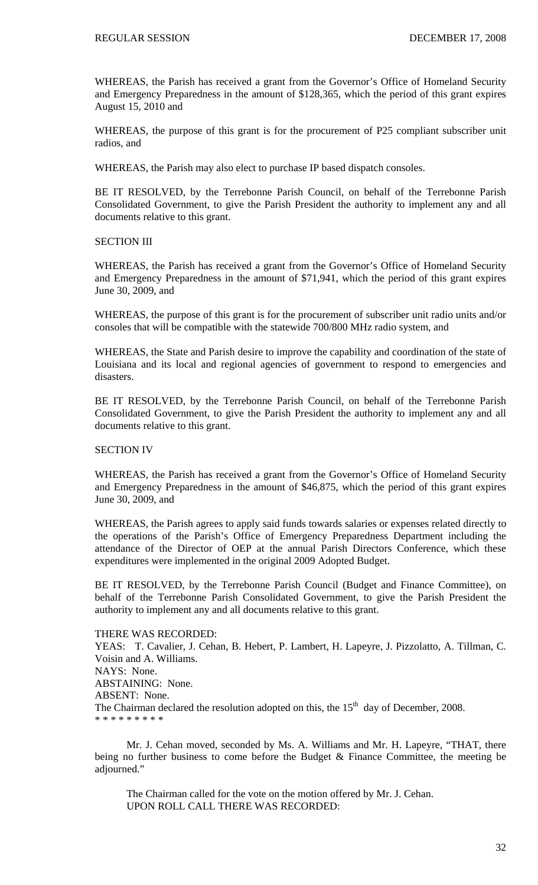WHEREAS, the Parish has received a grant from the Governor's Office of Homeland Security and Emergency Preparedness in the amount of \$128,365, which the period of this grant expires August 15, 2010 and

WHEREAS, the purpose of this grant is for the procurement of P25 compliant subscriber unit radios, and

WHEREAS, the Parish may also elect to purchase IP based dispatch consoles.

BE IT RESOLVED, by the Terrebonne Parish Council, on behalf of the Terrebonne Parish Consolidated Government, to give the Parish President the authority to implement any and all documents relative to this grant.

## SECTION III

WHEREAS, the Parish has received a grant from the Governor's Office of Homeland Security and Emergency Preparedness in the amount of \$71,941, which the period of this grant expires June 30, 2009, and

WHEREAS, the purpose of this grant is for the procurement of subscriber unit radio units and/or consoles that will be compatible with the statewide 700/800 MHz radio system, and

WHEREAS, the State and Parish desire to improve the capability and coordination of the state of Louisiana and its local and regional agencies of government to respond to emergencies and disasters.

BE IT RESOLVED, by the Terrebonne Parish Council, on behalf of the Terrebonne Parish Consolidated Government, to give the Parish President the authority to implement any and all documents relative to this grant.

#### SECTION IV

WHEREAS, the Parish has received a grant from the Governor's Office of Homeland Security and Emergency Preparedness in the amount of \$46,875, which the period of this grant expires June 30, 2009, and

WHEREAS, the Parish agrees to apply said funds towards salaries or expenses related directly to the operations of the Parish's Office of Emergency Preparedness Department including the attendance of the Director of OEP at the annual Parish Directors Conference, which these expenditures were implemented in the original 2009 Adopted Budget.

BE IT RESOLVED, by the Terrebonne Parish Council (Budget and Finance Committee), on behalf of the Terrebonne Parish Consolidated Government, to give the Parish President the authority to implement any and all documents relative to this grant.

#### THERE WAS RECORDED:

YEAS: T. Cavalier, J. Cehan, B. Hebert, P. Lambert, H. Lapeyre, J. Pizzolatto, A. Tillman, C. Voisin and A. Williams. NAYS: None. ABSTAINING: None. ABSENT: None. The Chairman declared the resolution adopted on this, the  $15<sup>th</sup>$  day of December, 2008. \* \* \* \* \* \* \* \* \*

 Mr. J. Cehan moved, seconded by Ms. A. Williams and Mr. H. Lapeyre, "THAT, there being no further business to come before the Budget & Finance Committee, the meeting be adjourned."

 The Chairman called for the vote on the motion offered by Mr. J. Cehan. UPON ROLL CALL THERE WAS RECORDED: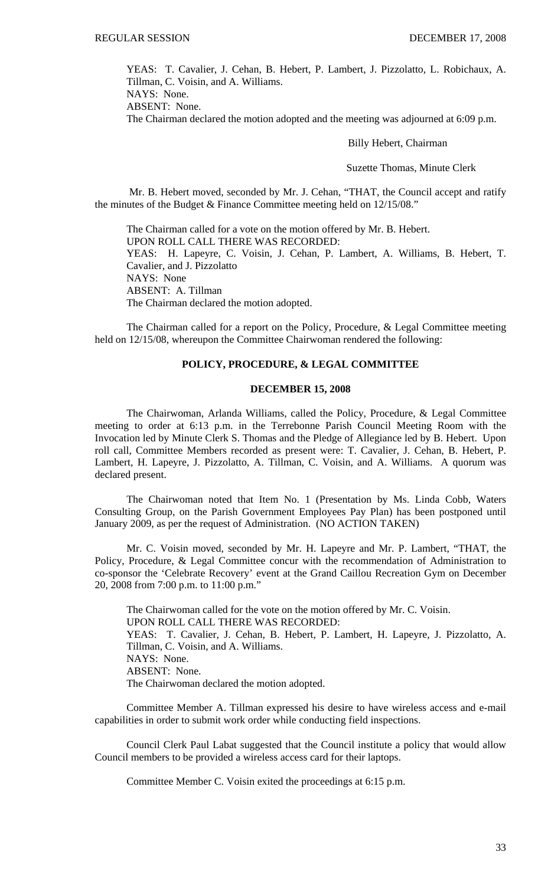YEAS: T. Cavalier, J. Cehan, B. Hebert, P. Lambert, J. Pizzolatto, L. Robichaux, A. Tillman, C. Voisin, and A. Williams.

NAYS: None. ABSENT: None.

The Chairman declared the motion adopted and the meeting was adjourned at 6:09 p.m.

Billy Hebert, Chairman

Suzette Thomas, Minute Clerk

 Mr. B. Hebert moved, seconded by Mr. J. Cehan, "THAT, the Council accept and ratify the minutes of the Budget & Finance Committee meeting held on 12/15/08."

 The Chairman called for a vote on the motion offered by Mr. B. Hebert. UPON ROLL CALL THERE WAS RECORDED: YEAS: H. Lapeyre, C. Voisin, J. Cehan, P. Lambert, A. Williams, B. Hebert, T. Cavalier, and J. Pizzolatto NAYS: None ABSENT: A. Tillman The Chairman declared the motion adopted.

 The Chairman called for a report on the Policy, Procedure, & Legal Committee meeting held on 12/15/08, whereupon the Committee Chairwoman rendered the following:

## **POLICY, PROCEDURE, & LEGAL COMMITTEE**

## **DECEMBER 15, 2008**

 The Chairwoman, Arlanda Williams, called the Policy, Procedure, & Legal Committee meeting to order at 6:13 p.m. in the Terrebonne Parish Council Meeting Room with the Invocation led by Minute Clerk S. Thomas and the Pledge of Allegiance led by B. Hebert. Upon roll call, Committee Members recorded as present were: T. Cavalier, J. Cehan, B. Hebert, P. Lambert, H. Lapeyre, J. Pizzolatto, A. Tillman, C. Voisin, and A. Williams. A quorum was declared present.

 The Chairwoman noted that Item No. 1 (Presentation by Ms. Linda Cobb, Waters Consulting Group, on the Parish Government Employees Pay Plan) has been postponed until January 2009, as per the request of Administration. (NO ACTION TAKEN)

 Mr. C. Voisin moved, seconded by Mr. H. Lapeyre and Mr. P. Lambert, "THAT, the Policy, Procedure, & Legal Committee concur with the recommendation of Administration to co-sponsor the 'Celebrate Recovery' event at the Grand Caillou Recreation Gym on December 20, 2008 from 7:00 p.m. to 11:00 p.m."

 The Chairwoman called for the vote on the motion offered by Mr. C. Voisin. UPON ROLL CALL THERE WAS RECORDED: YEAS: T. Cavalier, J. Cehan, B. Hebert, P. Lambert, H. Lapeyre, J. Pizzolatto, A. Tillman, C. Voisin, and A. Williams. NAYS: None. ABSENT: None. The Chairwoman declared the motion adopted.

 Committee Member A. Tillman expressed his desire to have wireless access and e-mail capabilities in order to submit work order while conducting field inspections.

 Council Clerk Paul Labat suggested that the Council institute a policy that would allow Council members to be provided a wireless access card for their laptops.

Committee Member C. Voisin exited the proceedings at 6:15 p.m.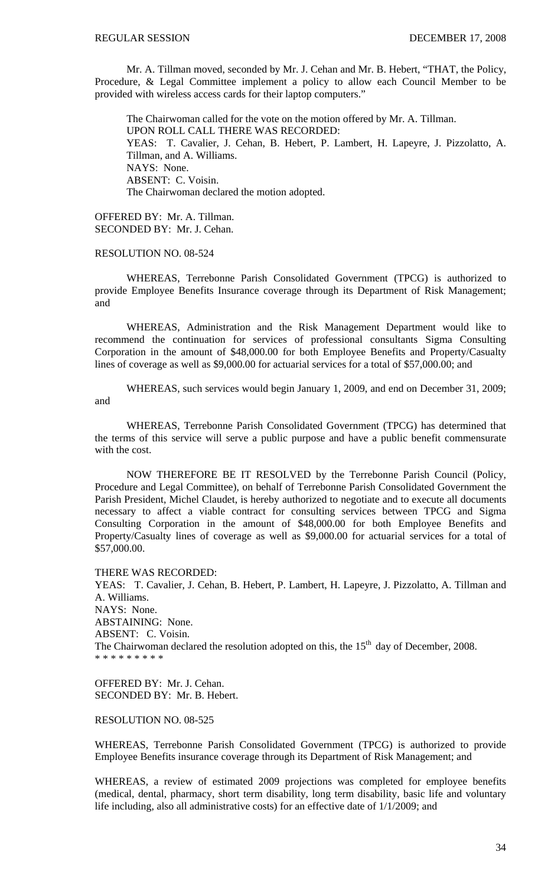Mr. A. Tillman moved, seconded by Mr. J. Cehan and Mr. B. Hebert, "THAT, the Policy, Procedure, & Legal Committee implement a policy to allow each Council Member to be provided with wireless access cards for their laptop computers."

 The Chairwoman called for the vote on the motion offered by Mr. A. Tillman. UPON ROLL CALL THERE WAS RECORDED: YEAS: T. Cavalier, J. Cehan, B. Hebert, P. Lambert, H. Lapeyre, J. Pizzolatto, A. Tillman, and A. Williams. NAYS: None. ABSENT: C. Voisin. The Chairwoman declared the motion adopted.

OFFERED BY: Mr. A. Tillman. SECONDED BY: Mr. J. Cehan.

RESOLUTION NO. 08-524

 WHEREAS, Terrebonne Parish Consolidated Government (TPCG) is authorized to provide Employee Benefits Insurance coverage through its Department of Risk Management; and

 WHEREAS, Administration and the Risk Management Department would like to recommend the continuation for services of professional consultants Sigma Consulting Corporation in the amount of \$48,000.00 for both Employee Benefits and Property/Casualty lines of coverage as well as \$9,000.00 for actuarial services for a total of \$57,000.00; and

 WHEREAS, such services would begin January 1, 2009, and end on December 31, 2009; and

 WHEREAS, Terrebonne Parish Consolidated Government (TPCG) has determined that the terms of this service will serve a public purpose and have a public benefit commensurate with the cost.

 NOW THEREFORE BE IT RESOLVED by the Terrebonne Parish Council (Policy, Procedure and Legal Committee), on behalf of Terrebonne Parish Consolidated Government the Parish President, Michel Claudet, is hereby authorized to negotiate and to execute all documents necessary to affect a viable contract for consulting services between TPCG and Sigma Consulting Corporation in the amount of \$48,000.00 for both Employee Benefits and Property/Casualty lines of coverage as well as \$9,000.00 for actuarial services for a total of \$57,000.00.

THERE WAS RECORDED: YEAS: T. Cavalier, J. Cehan, B. Hebert, P. Lambert, H. Lapeyre, J. Pizzolatto, A. Tillman and A. Williams. NAYS: None. ABSTAINING: None. ABSENT: C. Voisin. The Chairwoman declared the resolution adopted on this, the  $15<sup>th</sup>$  day of December, 2008. \* \* \* \* \* \* \* \* \*

OFFERED BY: Mr. J. Cehan. SECONDED BY: Mr. B. Hebert.

RESOLUTION NO. 08-525

WHEREAS, Terrebonne Parish Consolidated Government (TPCG) is authorized to provide Employee Benefits insurance coverage through its Department of Risk Management; and

WHEREAS, a review of estimated 2009 projections was completed for employee benefits (medical, dental, pharmacy, short term disability, long term disability, basic life and voluntary life including, also all administrative costs) for an effective date of 1/1/2009; and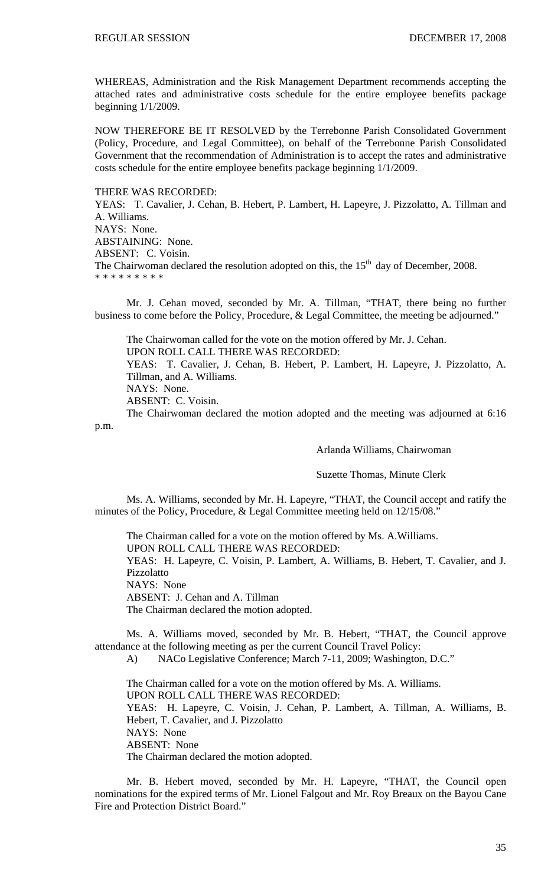WHEREAS, Administration and the Risk Management Department recommends accepting the attached rates and administrative costs schedule for the entire employee benefits package beginning 1/1/2009.

NOW THEREFORE BE IT RESOLVED by the Terrebonne Parish Consolidated Government (Policy, Procedure, and Legal Committee), on behalf of the Terrebonne Parish Consolidated Government that the recommendation of Administration is to accept the rates and administrative costs schedule for the entire employee benefits package beginning 1/1/2009.

#### THERE WAS RECORDED:

YEAS: T. Cavalier, J. Cehan, B. Hebert, P. Lambert, H. Lapeyre, J. Pizzolatto, A. Tillman and A. Williams. NAYS: None. ABSTAINING: None. ABSENT: C. Voisin. The Chairwoman declared the resolution adopted on this, the  $15<sup>th</sup>$  day of December, 2008. \* \* \* \* \* \* \* \* \*

 Mr. J. Cehan moved, seconded by Mr. A. Tillman, "THAT, there being no further business to come before the Policy, Procedure, & Legal Committee, the meeting be adjourned."

 The Chairwoman called for the vote on the motion offered by Mr. J. Cehan. UPON ROLL CALL THERE WAS RECORDED: YEAS: T. Cavalier, J. Cehan, B. Hebert, P. Lambert, H. Lapeyre, J. Pizzolatto, A. Tillman, and A. Williams. NAYS: None. ABSENT: C. Voisin.

 The Chairwoman declared the motion adopted and the meeting was adjourned at 6:16 p.m.

Arlanda Williams, Chairwoman

Suzette Thomas, Minute Clerk

Ms. A. Williams, seconded by Mr. H. Lapeyre, "THAT, the Council accept and ratify the minutes of the Policy, Procedure, & Legal Committee meeting held on 12/15/08."

 The Chairman called for a vote on the motion offered by Ms. A.Williams. UPON ROLL CALL THERE WAS RECORDED: YEAS: H. Lapeyre, C. Voisin, P. Lambert, A. Williams, B. Hebert, T. Cavalier, and J. Pizzolatto NAYS: None ABSENT: J. Cehan and A. Tillman The Chairman declared the motion adopted.

 Ms. A. Williams moved, seconded by Mr. B. Hebert, "THAT, the Council approve attendance at the following meeting as per the current Council Travel Policy:

A) NACo Legislative Conference; March 7-11, 2009; Washington, D.C."

 The Chairman called for a vote on the motion offered by Ms. A. Williams. UPON ROLL CALL THERE WAS RECORDED: YEAS: H. Lapeyre, C. Voisin, J. Cehan, P. Lambert, A. Tillman, A. Williams, B. Hebert, T. Cavalier, and J. Pizzolatto NAYS: None ABSENT: None The Chairman declared the motion adopted.

 Mr. B. Hebert moved, seconded by Mr. H. Lapeyre, "THAT, the Council open nominations for the expired terms of Mr. Lionel Falgout and Mr. Roy Breaux on the Bayou Cane Fire and Protection District Board."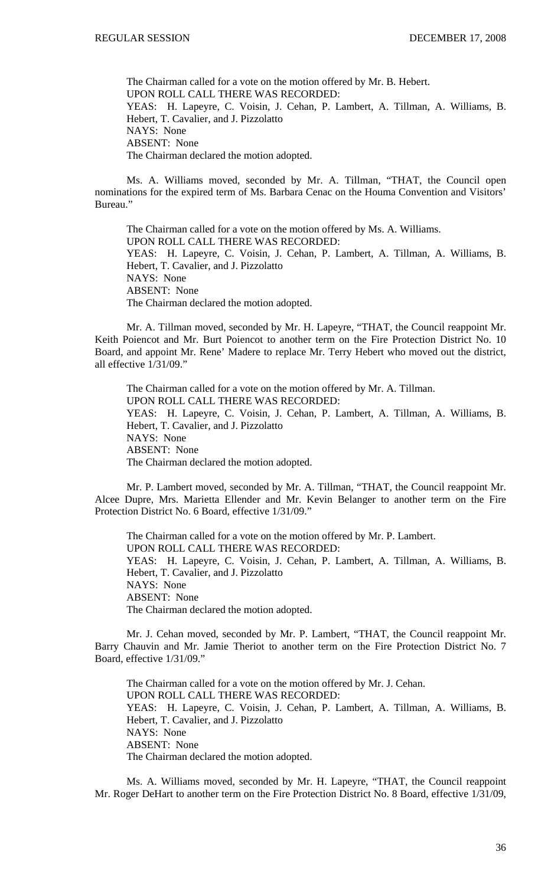The Chairman called for a vote on the motion offered by Mr. B. Hebert. UPON ROLL CALL THERE WAS RECORDED: YEAS: H. Lapeyre, C. Voisin, J. Cehan, P. Lambert, A. Tillman, A. Williams, B. Hebert, T. Cavalier, and J. Pizzolatto NAYS: None ABSENT: None The Chairman declared the motion adopted.

Ms. A. Williams moved, seconded by Mr. A. Tillman, "THAT, the Council open nominations for the expired term of Ms. Barbara Cenac on the Houma Convention and Visitors' Bureau."

 The Chairman called for a vote on the motion offered by Ms. A. Williams. UPON ROLL CALL THERE WAS RECORDED: YEAS: H. Lapeyre, C. Voisin, J. Cehan, P. Lambert, A. Tillman, A. Williams, B. Hebert, T. Cavalier, and J. Pizzolatto NAYS: None ABSENT: None The Chairman declared the motion adopted.

Mr. A. Tillman moved, seconded by Mr. H. Lapeyre, "THAT, the Council reappoint Mr. Keith Poiencot and Mr. Burt Poiencot to another term on the Fire Protection District No. 10 Board, and appoint Mr. Rene' Madere to replace Mr. Terry Hebert who moved out the district, all effective 1/31/09."

 The Chairman called for a vote on the motion offered by Mr. A. Tillman. UPON ROLL CALL THERE WAS RECORDED: YEAS: H. Lapeyre, C. Voisin, J. Cehan, P. Lambert, A. Tillman, A. Williams, B. Hebert, T. Cavalier, and J. Pizzolatto NAYS: None ABSENT: None The Chairman declared the motion adopted.

Mr. P. Lambert moved, seconded by Mr. A. Tillman, "THAT, the Council reappoint Mr. Alcee Dupre, Mrs. Marietta Ellender and Mr. Kevin Belanger to another term on the Fire Protection District No. 6 Board, effective 1/31/09."

 The Chairman called for a vote on the motion offered by Mr. P. Lambert. UPON ROLL CALL THERE WAS RECORDED: YEAS: H. Lapeyre, C. Voisin, J. Cehan, P. Lambert, A. Tillman, A. Williams, B. Hebert, T. Cavalier, and J. Pizzolatto NAYS: None ABSENT: None The Chairman declared the motion adopted.

 Mr. J. Cehan moved, seconded by Mr. P. Lambert, "THAT, the Council reappoint Mr. Barry Chauvin and Mr. Jamie Theriot to another term on the Fire Protection District No. 7 Board, effective 1/31/09."

 The Chairman called for a vote on the motion offered by Mr. J. Cehan. UPON ROLL CALL THERE WAS RECORDED: YEAS: H. Lapeyre, C. Voisin, J. Cehan, P. Lambert, A. Tillman, A. Williams, B. Hebert, T. Cavalier, and J. Pizzolatto NAYS: None ABSENT: None The Chairman declared the motion adopted.

 Ms. A. Williams moved, seconded by Mr. H. Lapeyre, "THAT, the Council reappoint Mr. Roger DeHart to another term on the Fire Protection District No. 8 Board, effective 1/31/09,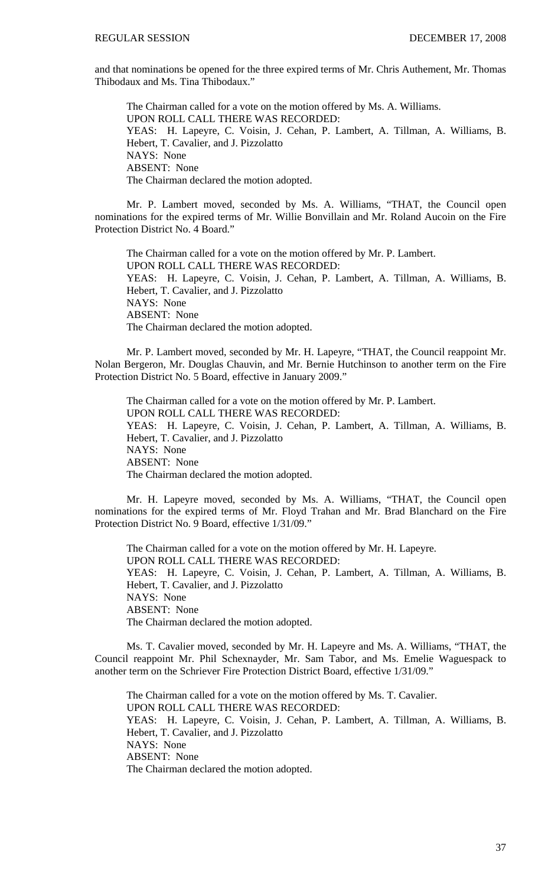and that nominations be opened for the three expired terms of Mr. Chris Authement, Mr. Thomas Thibodaux and Ms. Tina Thibodaux."

 The Chairman called for a vote on the motion offered by Ms. A. Williams. UPON ROLL CALL THERE WAS RECORDED: YEAS: H. Lapeyre, C. Voisin, J. Cehan, P. Lambert, A. Tillman, A. Williams, B. Hebert, T. Cavalier, and J. Pizzolatto NAYS: None ABSENT: None The Chairman declared the motion adopted.

Mr. P. Lambert moved, seconded by Ms. A. Williams, "THAT, the Council open nominations for the expired terms of Mr. Willie Bonvillain and Mr. Roland Aucoin on the Fire Protection District No. 4 Board."

The Chairman called for a vote on the motion offered by Mr. P. Lambert. UPON ROLL CALL THERE WAS RECORDED: YEAS: H. Lapeyre, C. Voisin, J. Cehan, P. Lambert, A. Tillman, A. Williams, B. Hebert, T. Cavalier, and J. Pizzolatto NAYS: None ABSENT: None The Chairman declared the motion adopted.

 Mr. P. Lambert moved, seconded by Mr. H. Lapeyre, "THAT, the Council reappoint Mr. Nolan Bergeron, Mr. Douglas Chauvin, and Mr. Bernie Hutchinson to another term on the Fire Protection District No. 5 Board, effective in January 2009."

 The Chairman called for a vote on the motion offered by Mr. P. Lambert. UPON ROLL CALL THERE WAS RECORDED: YEAS: H. Lapeyre, C. Voisin, J. Cehan, P. Lambert, A. Tillman, A. Williams, B. Hebert, T. Cavalier, and J. Pizzolatto NAYS: None ABSENT: None The Chairman declared the motion adopted.

 Mr. H. Lapeyre moved, seconded by Ms. A. Williams, "THAT, the Council open nominations for the expired terms of Mr. Floyd Trahan and Mr. Brad Blanchard on the Fire Protection District No. 9 Board, effective 1/31/09."

 The Chairman called for a vote on the motion offered by Mr. H. Lapeyre. UPON ROLL CALL THERE WAS RECORDED: YEAS: H. Lapeyre, C. Voisin, J. Cehan, P. Lambert, A. Tillman, A. Williams, B. Hebert, T. Cavalier, and J. Pizzolatto NAYS: None ABSENT: None The Chairman declared the motion adopted.

 Ms. T. Cavalier moved, seconded by Mr. H. Lapeyre and Ms. A. Williams, "THAT, the Council reappoint Mr. Phil Schexnayder, Mr. Sam Tabor, and Ms. Emelie Waguespack to another term on the Schriever Fire Protection District Board, effective 1/31/09."

 The Chairman called for a vote on the motion offered by Ms. T. Cavalier. UPON ROLL CALL THERE WAS RECORDED: YEAS: H. Lapeyre, C. Voisin, J. Cehan, P. Lambert, A. Tillman, A. Williams, B. Hebert, T. Cavalier, and J. Pizzolatto NAYS: None ABSENT: None The Chairman declared the motion adopted.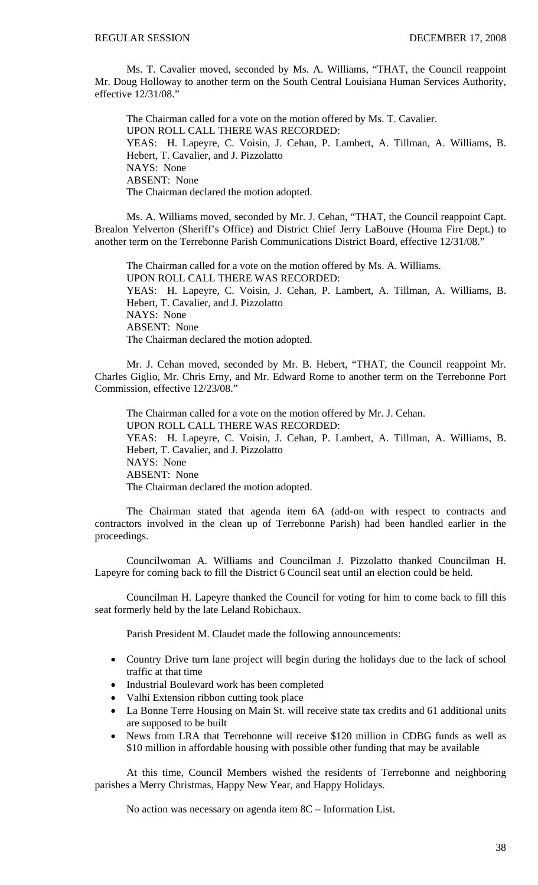Ms. T. Cavalier moved, seconded by Ms. A. Williams, "THAT, the Council reappoint Mr. Doug Holloway to another term on the South Central Louisiana Human Services Authority, effective 12/31/08."

 The Chairman called for a vote on the motion offered by Ms. T. Cavalier. UPON ROLL CALL THERE WAS RECORDED: YEAS: H. Lapeyre, C. Voisin, J. Cehan, P. Lambert, A. Tillman, A. Williams, B. Hebert, T. Cavalier, and J. Pizzolatto NAYS: None ABSENT: None The Chairman declared the motion adopted.

 Ms. A. Williams moved, seconded by Mr. J. Cehan, "THAT, the Council reappoint Capt. Brealon Yelverton (Sheriff's Office) and District Chief Jerry LaBouve (Houma Fire Dept.) to another term on the Terrebonne Parish Communications District Board, effective 12/31/08."

 The Chairman called for a vote on the motion offered by Ms. A. Williams. UPON ROLL CALL THERE WAS RECORDED: YEAS: H. Lapeyre, C. Voisin, J. Cehan, P. Lambert, A. Tillman, A. Williams, B. Hebert, T. Cavalier, and J. Pizzolatto NAYS: None ABSENT: None The Chairman declared the motion adopted.

 Mr. J. Cehan moved, seconded by Mr. B. Hebert, "THAT, the Council reappoint Mr. Charles Giglio, Mr. Chris Erny, and Mr. Edward Rome to another term on the Terrebonne Port Commission, effective 12/23/08."

 The Chairman called for a vote on the motion offered by Mr. J. Cehan. UPON ROLL CALL THERE WAS RECORDED: YEAS: H. Lapeyre, C. Voisin, J. Cehan, P. Lambert, A. Tillman, A. Williams, B. Hebert, T. Cavalier, and J. Pizzolatto NAYS: None ABSENT: None The Chairman declared the motion adopted.

 The Chairman stated that agenda item 6A (add-on with respect to contracts and contractors involved in the clean up of Terrebonne Parish) had been handled earlier in the proceedings.

 Councilwoman A. Williams and Councilman J. Pizzolatto thanked Councilman H. Lapeyre for coming back to fill the District 6 Council seat until an election could be held.

 Councilman H. Lapeyre thanked the Council for voting for him to come back to fill this seat formerly held by the late Leland Robichaux.

Parish President M. Claudet made the following announcements:

- Country Drive turn lane project will begin during the holidays due to the lack of school traffic at that time
- Industrial Boulevard work has been completed
- Valhi Extension ribbon cutting took place
- La Bonne Terre Housing on Main St. will receive state tax credits and 61 additional units are supposed to be built
- News from LRA that Terrebonne will receive \$120 million in CDBG funds as well as \$10 million in affordable housing with possible other funding that may be available

At this time, Council Members wished the residents of Terrebonne and neighboring parishes a Merry Christmas, Happy New Year, and Happy Holidays.

No action was necessary on agenda item 8C – Information List.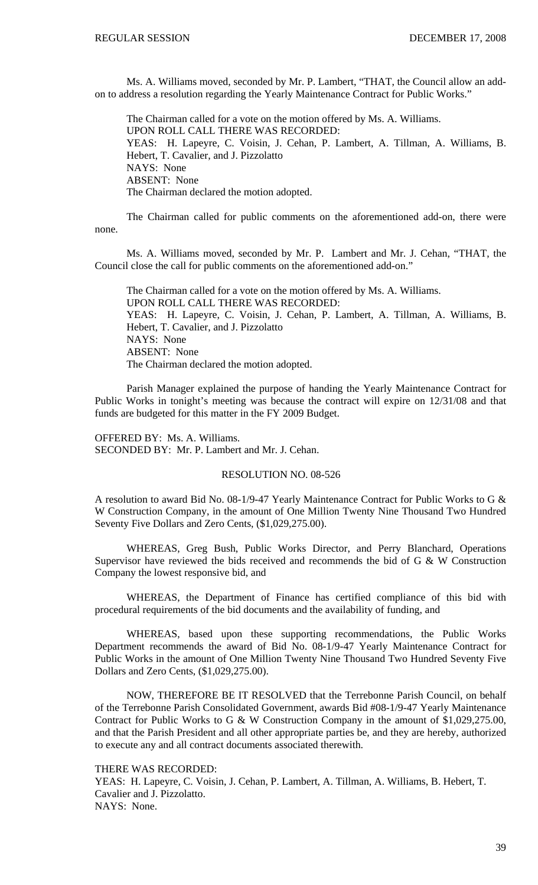Ms. A. Williams moved, seconded by Mr. P. Lambert, "THAT, the Council allow an addon to address a resolution regarding the Yearly Maintenance Contract for Public Works."

 The Chairman called for a vote on the motion offered by Ms. A. Williams. UPON ROLL CALL THERE WAS RECORDED: YEAS: H. Lapeyre, C. Voisin, J. Cehan, P. Lambert, A. Tillman, A. Williams, B. Hebert, T. Cavalier, and J. Pizzolatto NAYS: None ABSENT: None The Chairman declared the motion adopted.

 The Chairman called for public comments on the aforementioned add-on, there were none.

 Ms. A. Williams moved, seconded by Mr. P. Lambert and Mr. J. Cehan, "THAT, the Council close the call for public comments on the aforementioned add-on."

 The Chairman called for a vote on the motion offered by Ms. A. Williams. UPON ROLL CALL THERE WAS RECORDED: YEAS: H. Lapeyre, C. Voisin, J. Cehan, P. Lambert, A. Tillman, A. Williams, B. Hebert, T. Cavalier, and J. Pizzolatto NAYS: None ABSENT: None The Chairman declared the motion adopted.

 Parish Manager explained the purpose of handing the Yearly Maintenance Contract for Public Works in tonight's meeting was because the contract will expire on 12/31/08 and that funds are budgeted for this matter in the FY 2009 Budget.

OFFERED BY: Ms. A. Williams. SECONDED BY: Mr. P. Lambert and Mr. J. Cehan.

#### RESOLUTION NO. 08-526

A resolution to award Bid No. 08-1/9-47 Yearly Maintenance Contract for Public Works to G & W Construction Company, in the amount of One Million Twenty Nine Thousand Two Hundred Seventy Five Dollars and Zero Cents, (\$1,029,275.00).

 WHEREAS, Greg Bush, Public Works Director, and Perry Blanchard, Operations Supervisor have reviewed the bids received and recommends the bid of G  $\&$  W Construction Company the lowest responsive bid, and

 WHEREAS, the Department of Finance has certified compliance of this bid with procedural requirements of the bid documents and the availability of funding, and

 WHEREAS, based upon these supporting recommendations, the Public Works Department recommends the award of Bid No. 08-1/9-47 Yearly Maintenance Contract for Public Works in the amount of One Million Twenty Nine Thousand Two Hundred Seventy Five Dollars and Zero Cents, (\$1,029,275.00).

 NOW, THEREFORE BE IT RESOLVED that the Terrebonne Parish Council, on behalf of the Terrebonne Parish Consolidated Government, awards Bid #08-1/9-47 Yearly Maintenance Contract for Public Works to G & W Construction Company in the amount of \$1,029,275.00, and that the Parish President and all other appropriate parties be, and they are hereby, authorized to execute any and all contract documents associated therewith.

THERE WAS RECORDED:

YEAS: H. Lapeyre, C. Voisin, J. Cehan, P. Lambert, A. Tillman, A. Williams, B. Hebert, T. Cavalier and J. Pizzolatto. NAYS: None.